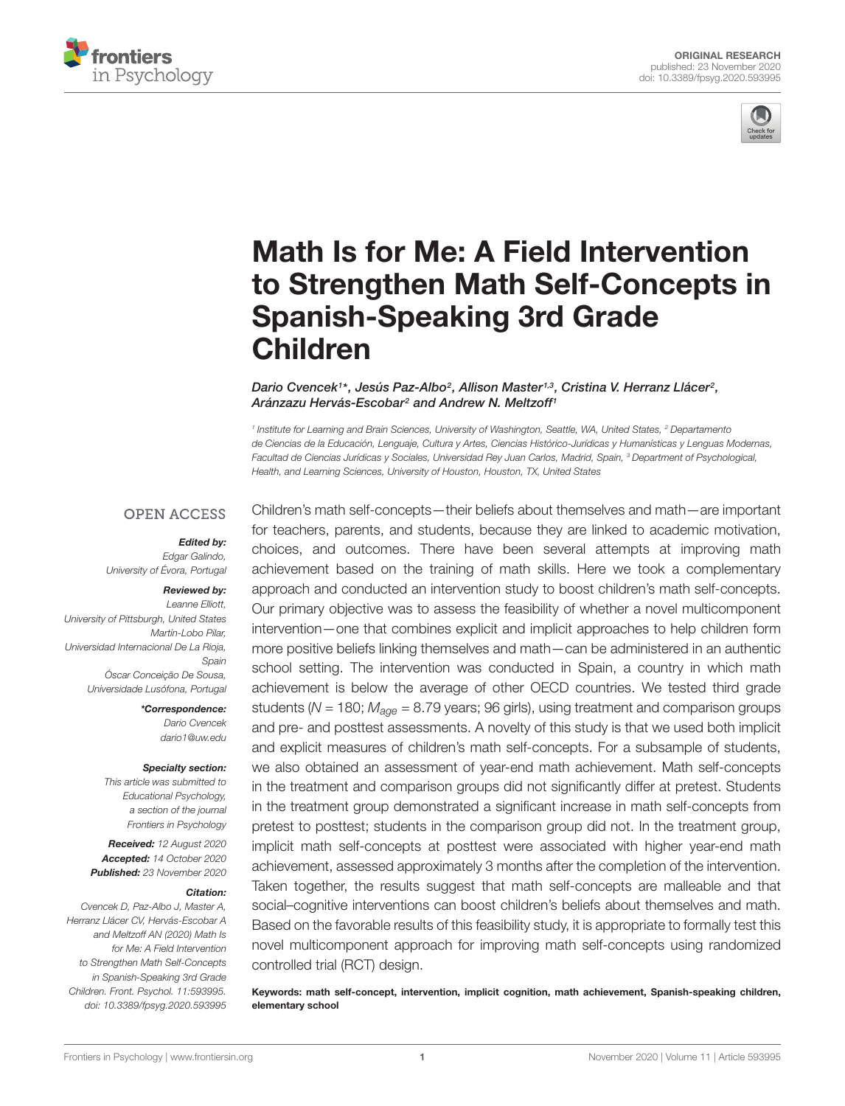



# Math Is for Me: A Field Intervention [to Strengthen Math Self-Concepts in](https://www.frontiersin.org/articles/10.3389/fpsyg.2020.593995/full) Spanish-Speaking 3rd Grade Children

Dario Cvencek1\*, Jesús Paz-Albo<sup>2</sup>, Allison Master<sup>1,3</sup>, Cristina V. Herranz Llácer<sup>2</sup>, Aránzazu Hervás-Escobar<sup>2</sup> and Andrew N. Meltzoff<sup>1</sup>

<sup>1</sup> Institute for Learning and Brain Sciences, University of Washington, Seattle, WA, United States, <sup>2</sup> Departamento de Ciencias de la Educación, Lenguaje, Cultura y Artes, Ciencias Histórico-Jurídicas y Humanísticas y Lenguas Modernas, Facultad de Ciencias Jurídicas y Sociales, Universidad Rey Juan Carlos, Madrid, Spain, <sup>3</sup> Department of Psychological, Health, and Learning Sciences, University of Houston, Houston, TX, United States

#### **OPEN ACCESS**

#### Edited by:

Edgar Galindo, University of Évora, Portugal

#### Reviewed by: Leanne Elliott,

University of Pittsburgh, United States Martín-Lobo Pilar, Universidad Internacional De La Rioja, Spain Óscar Conceição De Sousa, Universidade Lusófona, Portugal

> \*Correspondence: Dario Cvencek dario1@uw.edu

#### Specialty section:

This article was submitted to Educational Psychology, a section of the journal Frontiers in Psychology

Received: 12 August 2020 Accepted: 14 October 2020 Published: 23 November 2020

#### Citation:

Cvencek D, Paz-Albo J, Master A, Herranz Llácer CV, Hervás-Escobar A and Meltzoff AN (2020) Math Is for Me: A Field Intervention to Strengthen Math Self-Concepts in Spanish-Speaking 3rd Grade Children. Front. Psychol. 11:593995. doi: [10.3389/fpsyg.2020.593995](https://doi.org/10.3389/fpsyg.2020.593995)

Children's math self-concepts—their beliefs about themselves and math—are important for teachers, parents, and students, because they are linked to academic motivation, choices, and outcomes. There have been several attempts at improving math achievement based on the training of math skills. Here we took a complementary approach and conducted an intervention study to boost children's math self-concepts. Our primary objective was to assess the feasibility of whether a novel multicomponent intervention—one that combines explicit and implicit approaches to help children form more positive beliefs linking themselves and math—can be administered in an authentic school setting. The intervention was conducted in Spain, a country in which math achievement is below the average of other OECD countries. We tested third grade students ( $N = 180$ ;  $M_{\text{a}oe} = 8.79$  years; 96 girls), using treatment and comparison groups and pre- and posttest assessments. A novelty of this study is that we used both implicit and explicit measures of children's math self-concepts. For a subsample of students, we also obtained an assessment of year-end math achievement. Math self-concepts in the treatment and comparison groups did not significantly differ at pretest. Students in the treatment group demonstrated a significant increase in math self-concepts from pretest to posttest; students in the comparison group did not. In the treatment group, implicit math self-concepts at posttest were associated with higher year-end math achievement, assessed approximately 3 months after the completion of the intervention. Taken together, the results suggest that math self-concepts are malleable and that social–cognitive interventions can boost children's beliefs about themselves and math. Based on the favorable results of this feasibility study, it is appropriate to formally test this novel multicomponent approach for improving math self-concepts using randomized controlled trial (RCT) design.

Keywords: math self-concept, intervention, implicit cognition, math achievement, Spanish-speaking children, elementary school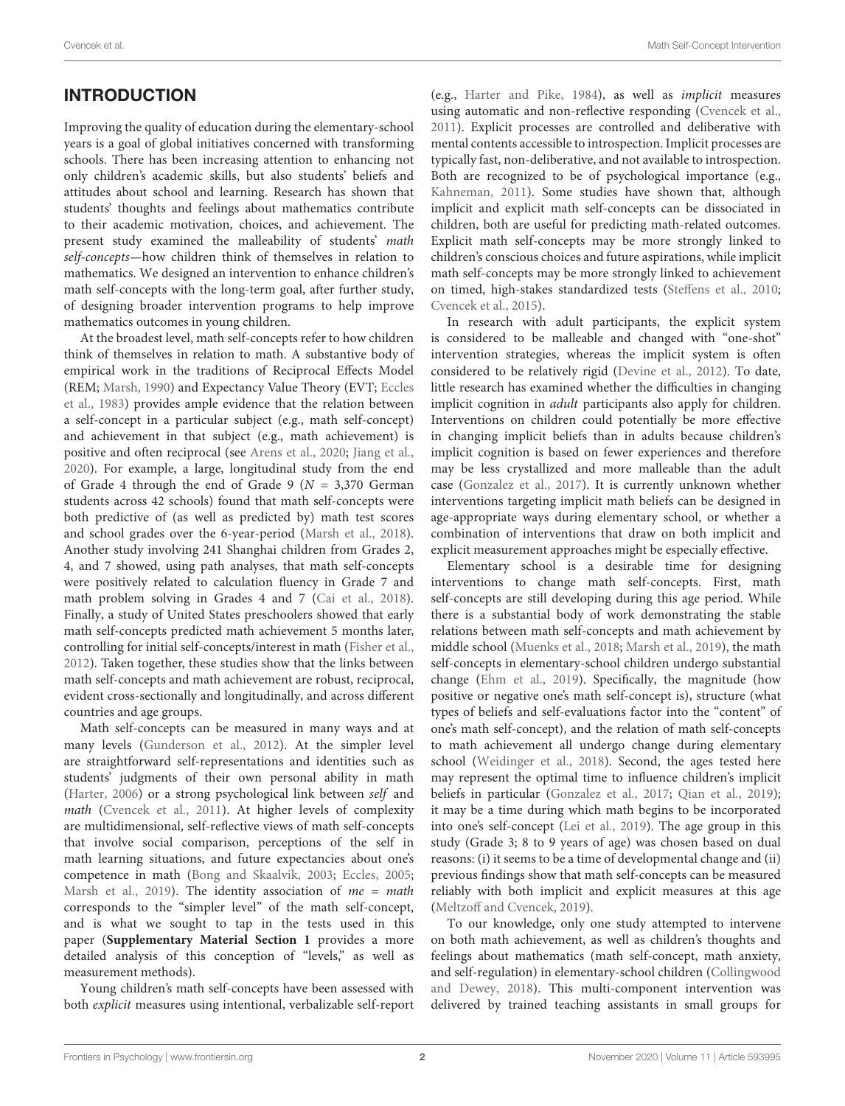# **INTRODUCTION**

Improving the quality of education during the elementary-school years is a goal of global initiatives concerned with transforming schools. There has been increasing attention to enhancing not only children's academic skills, but also students' beliefs and attitudes about school and learning. Research has shown that students' thoughts and feelings about mathematics contribute to their academic motivation, choices, and achievement. The present study examined the malleability of students' math self-concepts—how children think of themselves in relation to mathematics. We designed an intervention to enhance children's math self-concepts with the long-term goal, after further study, of designing broader intervention programs to help improve mathematics outcomes in young children.

At the broadest level, math self-concepts refer to how children think of themselves in relation to math. A substantive body of empirical work in the traditions of Reciprocal Effects Model (REM; [Marsh,](#page-12-0) [1990\)](#page-12-0) and Expectancy Value Theory (EVT; [Eccles](#page-11-0) [et al.,](#page-11-0) [1983\)](#page-11-0) provides ample evidence that the relation between a self-concept in a particular subject (e.g., math self-concept) and achievement in that subject (e.g., math achievement) is positive and often reciprocal (see [Arens et al.,](#page-11-1) [2020;](#page-11-1) [Jiang et al.,](#page-12-1) [2020\)](#page-12-1). For example, a large, longitudinal study from the end of Grade 4 through the end of Grade 9 ( $N = 3,370$  German students across 42 schools) found that math self-concepts were both predictive of (as well as predicted by) math test scores and school grades over the 6-year-period [\(Marsh et al.,](#page-12-2) [2018\)](#page-12-2). Another study involving 241 Shanghai children from Grades 2, 4, and 7 showed, using path analyses, that math self-concepts were positively related to calculation fluency in Grade 7 and math problem solving in Grades 4 and 7 [\(Cai et al.,](#page-11-2) [2018\)](#page-11-2). Finally, a study of United States preschoolers showed that early math self-concepts predicted math achievement 5 months later, controlling for initial self-concepts/interest in math [\(Fisher et al.,](#page-11-3) [2012\)](#page-11-3). Taken together, these studies show that the links between math self-concepts and math achievement are robust, reciprocal, evident cross-sectionally and longitudinally, and across different countries and age groups.

Math self-concepts can be measured in many ways and at many levels [\(Gunderson et al.,](#page-12-3) [2012\)](#page-12-3). At the simpler level are straightforward self-representations and identities such as students' judgments of their own personal ability in math [\(Harter,](#page-12-4) [2006\)](#page-12-4) or a strong psychological link between self and math [\(Cvencek et al.,](#page-11-4) [2011\)](#page-11-4). At higher levels of complexity are multidimensional, self-reflective views of math self-concepts that involve social comparison, perceptions of the self in math learning situations, and future expectancies about one's competence in math [\(Bong and Skaalvik,](#page-11-5) [2003;](#page-11-5) [Eccles,](#page-11-6) [2005;](#page-11-6) [Marsh et al.,](#page-12-5) [2019\)](#page-12-5). The identity association of  $me = math$ corresponds to the "simpler level" of the math self-concept, and is what we sought to tap in the tests used in this paper (**[Supplementary Material Section 1](#page-11-7)** provides a more detailed analysis of this conception of "levels," as well as measurement methods).

Young children's math self-concepts have been assessed with both explicit measures using intentional, verbalizable self-report (e.g., [Harter and Pike,](#page-12-6) [1984\)](#page-12-6), as well as implicit measures using automatic and non-reflective responding [\(Cvencek et al.,](#page-11-4) [2011\)](#page-11-4). Explicit processes are controlled and deliberative with mental contents accessible to introspection. Implicit processes are typically fast, non-deliberative, and not available to introspection. Both are recognized to be of psychological importance (e.g., [Kahneman,](#page-12-7) [2011\)](#page-12-7). Some studies have shown that, although implicit and explicit math self-concepts can be dissociated in children, both are useful for predicting math-related outcomes. Explicit math self-concepts may be more strongly linked to children's conscious choices and future aspirations, while implicit math self-concepts may be more strongly linked to achievement on timed, high-stakes standardized tests [\(Steffens et al.,](#page-12-8) [2010;](#page-12-8) [Cvencek et al.,](#page-11-8) [2015\)](#page-11-8).

In research with adult participants, the explicit system is considered to be malleable and changed with "one-shot" intervention strategies, whereas the implicit system is often considered to be relatively rigid [\(Devine et al.,](#page-11-9) [2012\)](#page-11-9). To date, little research has examined whether the difficulties in changing implicit cognition in adult participants also apply for children. Interventions on children could potentially be more effective in changing implicit beliefs than in adults because children's implicit cognition is based on fewer experiences and therefore may be less crystallized and more malleable than the adult case [\(Gonzalez et al.,](#page-11-10) [2017\)](#page-11-10). It is currently unknown whether interventions targeting implicit math beliefs can be designed in age-appropriate ways during elementary school, or whether a combination of interventions that draw on both implicit and explicit measurement approaches might be especially effective.

Elementary school is a desirable time for designing interventions to change math self-concepts. First, math self-concepts are still developing during this age period. While there is a substantial body of work demonstrating the stable relations between math self-concepts and math achievement by middle school [\(Muenks et al.,](#page-12-9) [2018;](#page-12-9) [Marsh et al.,](#page-12-5) [2019\)](#page-12-5), the math self-concepts in elementary-school children undergo substantial change [\(Ehm et al.,](#page-11-11) [2019\)](#page-11-11). Specifically, the magnitude (how positive or negative one's math self-concept is), structure (what types of beliefs and self-evaluations factor into the "content" of one's math self-concept), and the relation of math self-concepts to math achievement all undergo change during elementary school [\(Weidinger et al.,](#page-13-0) [2018\)](#page-13-0). Second, the ages tested here may represent the optimal time to influence children's implicit beliefs in particular [\(Gonzalez et al.,](#page-11-10) [2017;](#page-11-10) [Qian et al.,](#page-12-10) [2019\)](#page-12-10); it may be a time during which math begins to be incorporated into one's self-concept [\(Lei et al.,](#page-12-11) [2019\)](#page-12-11). The age group in this study (Grade 3; 8 to 9 years of age) was chosen based on dual reasons: (i) it seems to be a time of developmental change and (ii) previous findings show that math self-concepts can be measured reliably with both implicit and explicit measures at this age [\(Meltzoff and Cvencek,](#page-12-12) [2019\)](#page-12-12).

To our knowledge, only one study attempted to intervene on both math achievement, as well as children's thoughts and feelings about mathematics (math self-concept, math anxiety, and self-regulation) in elementary-school children [\(Collingwood](#page-11-12) [and Dewey,](#page-11-12) [2018\)](#page-11-12). This multi-component intervention was delivered by trained teaching assistants in small groups for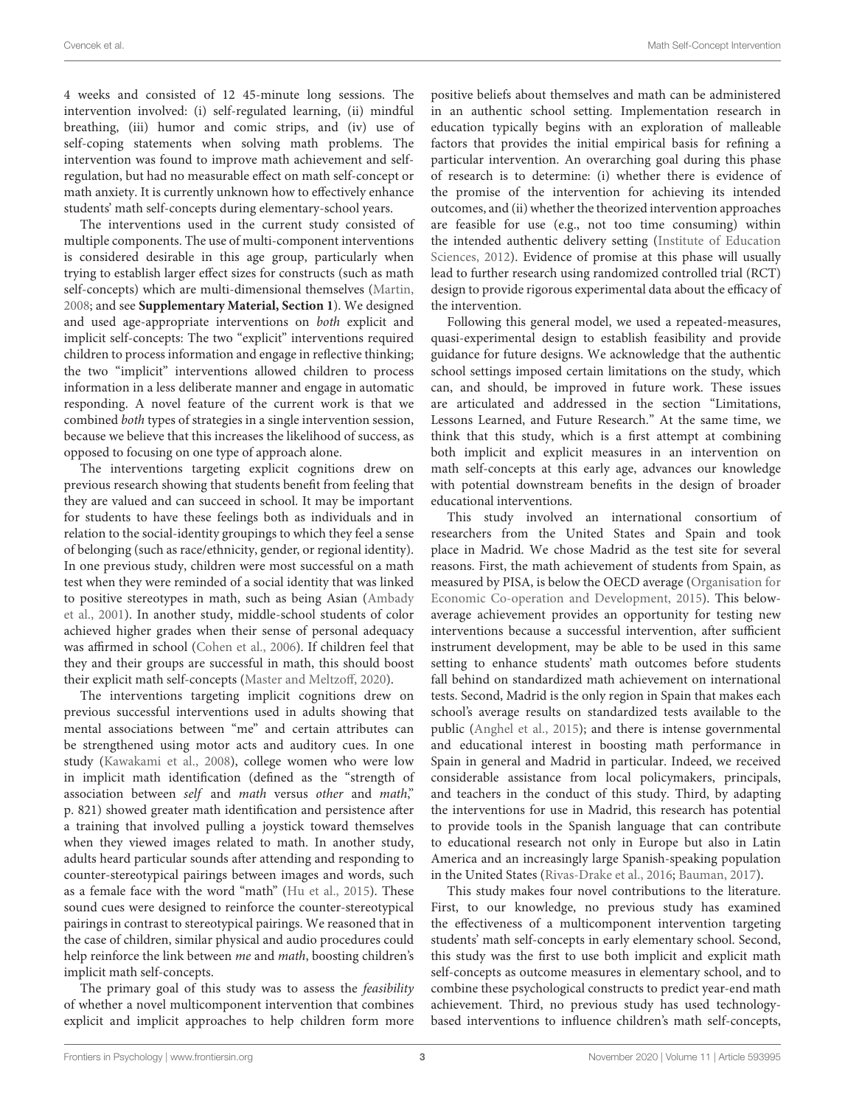4 weeks and consisted of 12 45-minute long sessions. The intervention involved: (i) self-regulated learning, (ii) mindful breathing, (iii) humor and comic strips, and (iv) use of self-coping statements when solving math problems. The intervention was found to improve math achievement and selfregulation, but had no measurable effect on math self-concept or math anxiety. It is currently unknown how to effectively enhance students' math self-concepts during elementary-school years.

The interventions used in the current study consisted of multiple components. The use of multi-component interventions is considered desirable in this age group, particularly when trying to establish larger effect sizes for constructs (such as math self-concepts) which are multi-dimensional themselves [\(Martin,](#page-12-13) [2008;](#page-12-13) and see **[Supplementary Material, Section 1](#page-11-7)**). We designed and used age-appropriate interventions on both explicit and implicit self-concepts: The two "explicit" interventions required children to process information and engage in reflective thinking; the two "implicit" interventions allowed children to process information in a less deliberate manner and engage in automatic responding. A novel feature of the current work is that we combined both types of strategies in a single intervention session, because we believe that this increases the likelihood of success, as opposed to focusing on one type of approach alone.

The interventions targeting explicit cognitions drew on previous research showing that students benefit from feeling that they are valued and can succeed in school. It may be important for students to have these feelings both as individuals and in relation to the social-identity groupings to which they feel a sense of belonging (such as race/ethnicity, gender, or regional identity). In one previous study, children were most successful on a math test when they were reminded of a social identity that was linked to positive stereotypes in math, such as being Asian [\(Ambady](#page-11-13) [et al.,](#page-11-13) [2001\)](#page-11-13). In another study, middle-school students of color achieved higher grades when their sense of personal adequacy was affirmed in school [\(Cohen et al.,](#page-11-14) [2006\)](#page-11-14). If children feel that they and their groups are successful in math, this should boost their explicit math self-concepts [\(Master and Meltzoff,](#page-12-14) [2020\)](#page-12-14).

The interventions targeting implicit cognitions drew on previous successful interventions used in adults showing that mental associations between "me" and certain attributes can be strengthened using motor acts and auditory cues. In one study [\(Kawakami et al.,](#page-12-15) [2008\)](#page-12-15), college women who were low in implicit math identification (defined as the "strength of association between self and math versus other and math," p. 821) showed greater math identification and persistence after a training that involved pulling a joystick toward themselves when they viewed images related to math. In another study, adults heard particular sounds after attending and responding to counter-stereotypical pairings between images and words, such as a female face with the word "math" [\(Hu et al.,](#page-12-16) [2015\)](#page-12-16). These sound cues were designed to reinforce the counter-stereotypical pairings in contrast to stereotypical pairings. We reasoned that in the case of children, similar physical and audio procedures could help reinforce the link between me and math, boosting children's implicit math self-concepts.

The primary goal of this study was to assess the *feasibility* of whether a novel multicomponent intervention that combines explicit and implicit approaches to help children form more positive beliefs about themselves and math can be administered in an authentic school setting. Implementation research in education typically begins with an exploration of malleable factors that provides the initial empirical basis for refining a particular intervention. An overarching goal during this phase of research is to determine: (i) whether there is evidence of the promise of the intervention for achieving its intended outcomes, and (ii) whether the theorized intervention approaches are feasible for use (e.g., not too time consuming) within the intended authentic delivery setting [\(Institute of Education](#page-12-17) [Sciences,](#page-12-17) [2012\)](#page-12-17). Evidence of promise at this phase will usually lead to further research using randomized controlled trial (RCT) design to provide rigorous experimental data about the efficacy of the intervention.

Following this general model, we used a repeated-measures, quasi-experimental design to establish feasibility and provide guidance for future designs. We acknowledge that the authentic school settings imposed certain limitations on the study, which can, and should, be improved in future work. These issues are articulated and addressed in the section "Limitations, Lessons Learned, and Future Research." At the same time, we think that this study, which is a first attempt at combining both implicit and explicit measures in an intervention on math self-concepts at this early age, advances our knowledge with potential downstream benefits in the design of broader educational interventions.

This study involved an international consortium of researchers from the United States and Spain and took place in Madrid. We chose Madrid as the test site for several reasons. First, the math achievement of students from Spain, as measured by PISA, is below the OECD average [\(Organisation for](#page-12-18) [Economic Co-operation and Development,](#page-12-18) [2015\)](#page-12-18). This belowaverage achievement provides an opportunity for testing new interventions because a successful intervention, after sufficient instrument development, may be able to be used in this same setting to enhance students' math outcomes before students fall behind on standardized math achievement on international tests. Second, Madrid is the only region in Spain that makes each school's average results on standardized tests available to the public [\(Anghel et al.,](#page-11-15) [2015\)](#page-11-15); and there is intense governmental and educational interest in boosting math performance in Spain in general and Madrid in particular. Indeed, we received considerable assistance from local policymakers, principals, and teachers in the conduct of this study. Third, by adapting the interventions for use in Madrid, this research has potential to provide tools in the Spanish language that can contribute to educational research not only in Europe but also in Latin America and an increasingly large Spanish-speaking population in the United States [\(Rivas-Drake et al.,](#page-12-19) [2016;](#page-12-19) [Bauman,](#page-11-16) [2017\)](#page-11-16).

This study makes four novel contributions to the literature. First, to our knowledge, no previous study has examined the effectiveness of a multicomponent intervention targeting students' math self-concepts in early elementary school. Second, this study was the first to use both implicit and explicit math self-concepts as outcome measures in elementary school, and to combine these psychological constructs to predict year-end math achievement. Third, no previous study has used technologybased interventions to influence children's math self-concepts,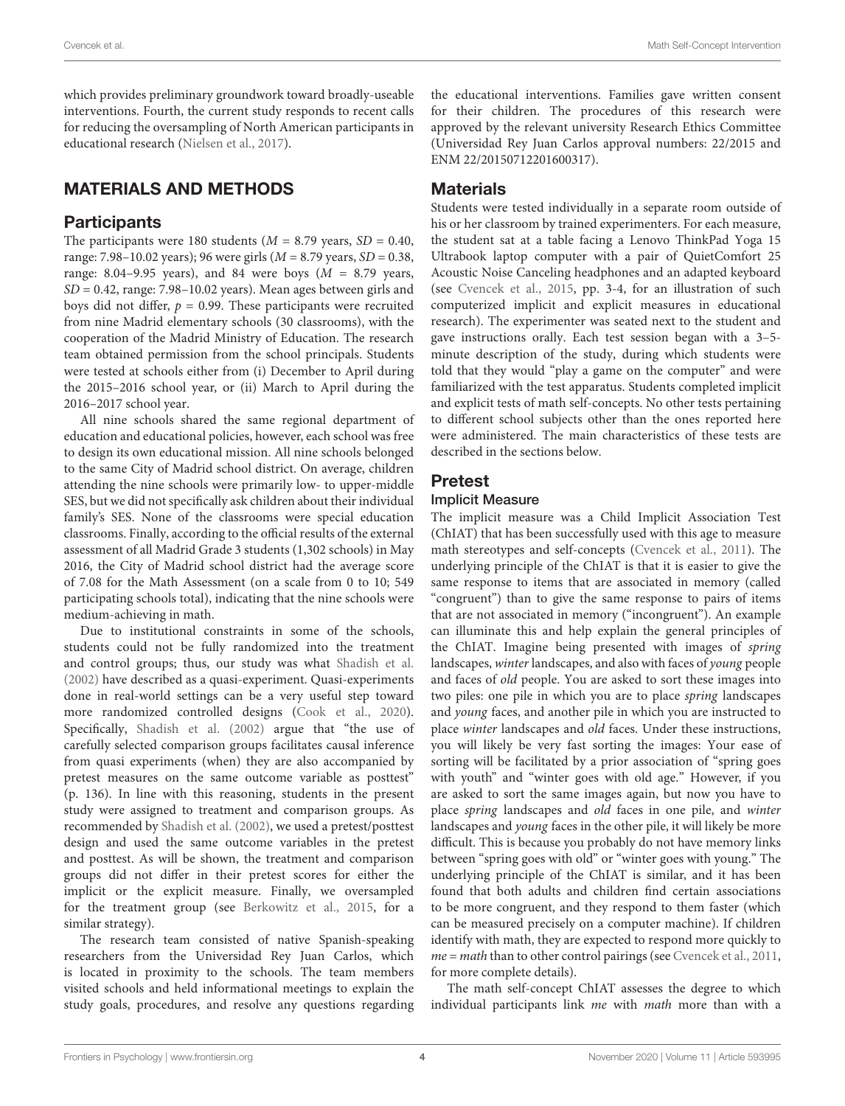which provides preliminary groundwork toward broadly-useable interventions. Fourth, the current study responds to recent calls for reducing the oversampling of North American participants in educational research [\(Nielsen et al.,](#page-12-20) [2017\)](#page-12-20).

# MATERIALS AND METHODS

# **Participants**

The participants were 180 students ( $M = 8.79$  years,  $SD = 0.40$ , range: 7.98–10.02 years); 96 were girls  $(M = 8.79$  years,  $SD = 0.38$ , range: 8.04–9.95 years), and 84 were boys  $(M = 8.79$  years,  $SD = 0.42$ , range: 7.98-10.02 years). Mean ages between girls and boys did not differ,  $p = 0.99$ . These participants were recruited from nine Madrid elementary schools (30 classrooms), with the cooperation of the Madrid Ministry of Education. The research team obtained permission from the school principals. Students were tested at schools either from (i) December to April during the 2015–2016 school year, or (ii) March to April during the 2016–2017 school year.

All nine schools shared the same regional department of education and educational policies, however, each school was free to design its own educational mission. All nine schools belonged to the same City of Madrid school district. On average, children attending the nine schools were primarily low- to upper-middle SES, but we did not specifically ask children about their individual family's SES. None of the classrooms were special education classrooms. Finally, according to the official results of the external assessment of all Madrid Grade 3 students (1,302 schools) in May 2016, the City of Madrid school district had the average score of 7.08 for the Math Assessment (on a scale from 0 to 10; 549 participating schools total), indicating that the nine schools were medium-achieving in math.

Due to institutional constraints in some of the schools, students could not be fully randomized into the treatment and control groups; thus, our study was what [Shadish et al.](#page-12-21) [\(2002\)](#page-12-21) have described as a quasi-experiment. Quasi-experiments done in real-world settings can be a very useful step toward more randomized controlled designs [\(Cook et al.,](#page-11-17) [2020\)](#page-11-17). Specifically, [Shadish et al.](#page-12-21) [\(2002\)](#page-12-21) argue that "the use of carefully selected comparison groups facilitates causal inference from quasi experiments (when) they are also accompanied by pretest measures on the same outcome variable as posttest" (p. 136). In line with this reasoning, students in the present study were assigned to treatment and comparison groups. As recommended by [Shadish et al.](#page-12-21) [\(2002\)](#page-12-21), we used a pretest/posttest design and used the same outcome variables in the pretest and posttest. As will be shown, the treatment and comparison groups did not differ in their pretest scores for either the implicit or the explicit measure. Finally, we oversampled for the treatment group (see [Berkowitz et al.,](#page-11-18) [2015,](#page-11-18) for a similar strategy).

The research team consisted of native Spanish-speaking researchers from the Universidad Rey Juan Carlos, which is located in proximity to the schools. The team members visited schools and held informational meetings to explain the study goals, procedures, and resolve any questions regarding the educational interventions. Families gave written consent for their children. The procedures of this research were approved by the relevant university Research Ethics Committee (Universidad Rey Juan Carlos approval numbers: 22/2015 and ENM 22/20150712201600317).

# **Materials**

Students were tested individually in a separate room outside of his or her classroom by trained experimenters. For each measure, the student sat at a table facing a Lenovo ThinkPad Yoga 15 Ultrabook laptop computer with a pair of QuietComfort 25 Acoustic Noise Canceling headphones and an adapted keyboard (see [Cvencek et al.,](#page-11-8) [2015,](#page-11-8) pp. 3-4, for an illustration of such computerized implicit and explicit measures in educational research). The experimenter was seated next to the student and gave instructions orally. Each test session began with a 3–5 minute description of the study, during which students were told that they would "play a game on the computer" and were familiarized with the test apparatus. Students completed implicit and explicit tests of math self-concepts. No other tests pertaining to different school subjects other than the ones reported here were administered. The main characteristics of these tests are described in the sections below.

# Pretest

### Implicit Measure

The implicit measure was a Child Implicit Association Test (ChIAT) that has been successfully used with this age to measure math stereotypes and self-concepts [\(Cvencek et al.,](#page-11-4) [2011\)](#page-11-4). The underlying principle of the ChIAT is that it is easier to give the same response to items that are associated in memory (called "congruent") than to give the same response to pairs of items that are not associated in memory ("incongruent"). An example can illuminate this and help explain the general principles of the ChIAT. Imagine being presented with images of spring landscapes, winter landscapes, and also with faces of young people and faces of old people. You are asked to sort these images into two piles: one pile in which you are to place *spring* landscapes and young faces, and another pile in which you are instructed to place winter landscapes and old faces. Under these instructions, you will likely be very fast sorting the images: Your ease of sorting will be facilitated by a prior association of "spring goes with youth" and "winter goes with old age." However, if you are asked to sort the same images again, but now you have to place spring landscapes and old faces in one pile, and winter landscapes and young faces in the other pile, it will likely be more difficult. This is because you probably do not have memory links between "spring goes with old" or "winter goes with young." The underlying principle of the ChIAT is similar, and it has been found that both adults and children find certain associations to be more congruent, and they respond to them faster (which can be measured precisely on a computer machine). If children identify with math, they are expected to respond more quickly to  $me = math$  than to other control pairings (see [Cvencek et al.,](#page-11-4) [2011,](#page-11-4) for more complete details).

The math self-concept ChIAT assesses the degree to which individual participants link me with math more than with a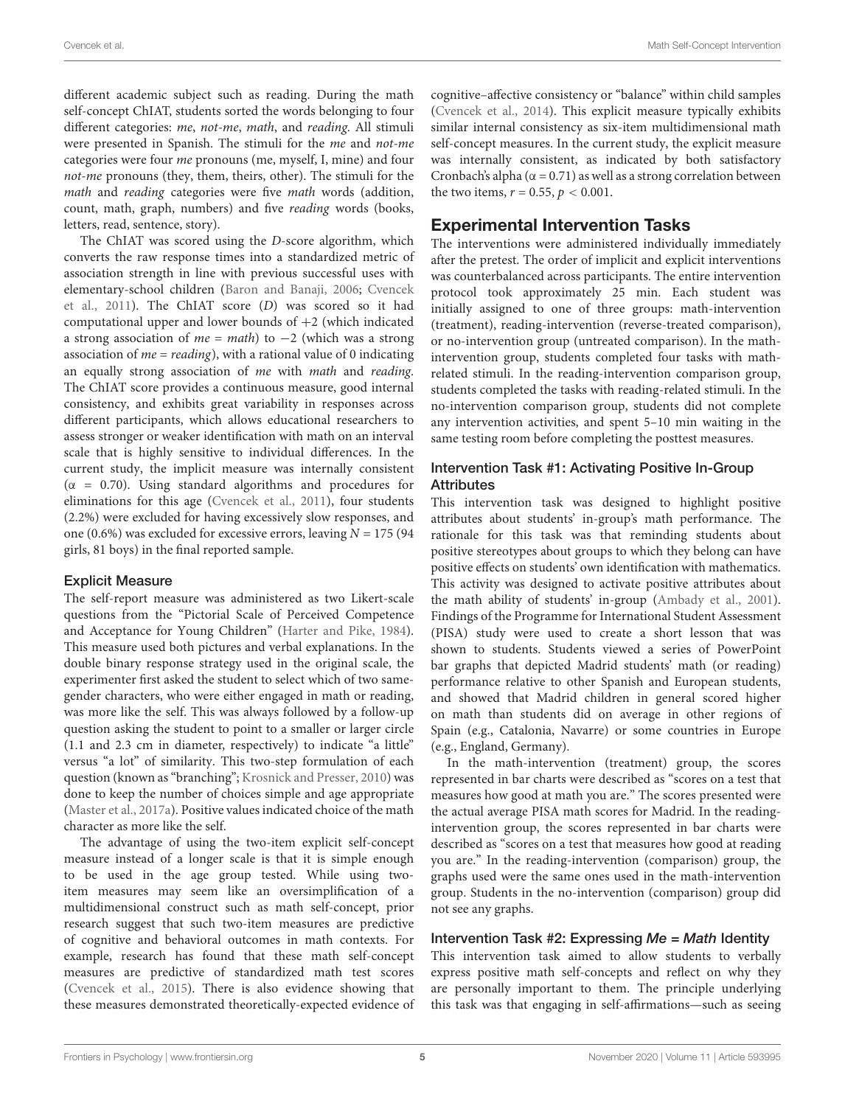different academic subject such as reading. During the math self-concept ChIAT, students sorted the words belonging to four different categories: me, not-me, math, and reading. All stimuli were presented in Spanish. The stimuli for the me and not-me categories were four me pronouns (me, myself, I, mine) and four not-me pronouns (they, them, theirs, other). The stimuli for the math and reading categories were five math words (addition, count, math, graph, numbers) and five reading words (books, letters, read, sentence, story).

The ChIAT was scored using the D-score algorithm, which converts the raw response times into a standardized metric of association strength in line with previous successful uses with elementary-school children [\(Baron and Banaji,](#page-11-19) [2006;](#page-11-19) [Cvencek](#page-11-4) [et al.,](#page-11-4) [2011\)](#page-11-4). The ChIAT score (D) was scored so it had computational upper and lower bounds of  $+2$  (which indicated a strong association of  $me = math$ ) to  $-2$  (which was a strong association of  $me = reading$ ), with a rational value of 0 indicating an equally strong association of me with math and reading. The ChIAT score provides a continuous measure, good internal consistency, and exhibits great variability in responses across different participants, which allows educational researchers to assess stronger or weaker identification with math on an interval scale that is highly sensitive to individual differences. In the current study, the implicit measure was internally consistent ( $\alpha$  = 0.70). Using standard algorithms and procedures for eliminations for this age [\(Cvencek et al.,](#page-11-4) [2011\)](#page-11-4), four students (2.2%) were excluded for having excessively slow responses, and one (0.6%) was excluded for excessive errors, leaving  $N = 175$  (94 girls, 81 boys) in the final reported sample.

### Explicit Measure

The self-report measure was administered as two Likert-scale questions from the "Pictorial Scale of Perceived Competence and Acceptance for Young Children" [\(Harter and Pike,](#page-12-6) [1984\)](#page-12-6). This measure used both pictures and verbal explanations. In the double binary response strategy used in the original scale, the experimenter first asked the student to select which of two samegender characters, who were either engaged in math or reading, was more like the self. This was always followed by a follow-up question asking the student to point to a smaller or larger circle (1.1 and 2.3 cm in diameter, respectively) to indicate "a little" versus "a lot" of similarity. This two-step formulation of each question (known as "branching"; [Krosnick and Presser,](#page-12-22) [2010\)](#page-12-22) was done to keep the number of choices simple and age appropriate [\(Master et al.,](#page-12-23) [2017a\)](#page-12-23). Positive values indicated choice of the math character as more like the self.

The advantage of using the two-item explicit self-concept measure instead of a longer scale is that it is simple enough to be used in the age group tested. While using twoitem measures may seem like an oversimplification of a multidimensional construct such as math self-concept, prior research suggest that such two-item measures are predictive of cognitive and behavioral outcomes in math contexts. For example, research has found that these math self-concept measures are predictive of standardized math test scores [\(Cvencek et al.,](#page-11-8) [2015\)](#page-11-8). There is also evidence showing that these measures demonstrated theoretically-expected evidence of cognitive–affective consistency or "balance" within child samples [\(Cvencek et al.,](#page-11-20) [2014\)](#page-11-20). This explicit measure typically exhibits similar internal consistency as six-item multidimensional math self-concept measures. In the current study, the explicit measure was internally consistent, as indicated by both satisfactory Cronbach's alpha ( $\alpha$  = 0.71) as well as a strong correlation between the two items,  $r = 0.55$ ,  $p < 0.001$ .

# Experimental Intervention Tasks

The interventions were administered individually immediately after the pretest. The order of implicit and explicit interventions was counterbalanced across participants. The entire intervention protocol took approximately 25 min. Each student was initially assigned to one of three groups: math-intervention (treatment), reading-intervention (reverse-treated comparison), or no-intervention group (untreated comparison). In the mathintervention group, students completed four tasks with mathrelated stimuli. In the reading-intervention comparison group, students completed the tasks with reading-related stimuli. In the no-intervention comparison group, students did not complete any intervention activities, and spent 5–10 min waiting in the same testing room before completing the posttest measures.

### Intervention Task #1: Activating Positive In-Group **Attributes**

This intervention task was designed to highlight positive attributes about students' in-group's math performance. The rationale for this task was that reminding students about positive stereotypes about groups to which they belong can have positive effects on students' own identification with mathematics. This activity was designed to activate positive attributes about the math ability of students' in-group [\(Ambady et al.,](#page-11-13) [2001\)](#page-11-13). Findings of the Programme for International Student Assessment (PISA) study were used to create a short lesson that was shown to students. Students viewed a series of PowerPoint bar graphs that depicted Madrid students' math (or reading) performance relative to other Spanish and European students, and showed that Madrid children in general scored higher on math than students did on average in other regions of Spain (e.g., Catalonia, Navarre) or some countries in Europe (e.g., England, Germany).

In the math-intervention (treatment) group, the scores represented in bar charts were described as "scores on a test that measures how good at math you are." The scores presented were the actual average PISA math scores for Madrid. In the readingintervention group, the scores represented in bar charts were described as "scores on a test that measures how good at reading you are." In the reading-intervention (comparison) group, the graphs used were the same ones used in the math-intervention group. Students in the no-intervention (comparison) group did not see any graphs.

### Intervention Task #2: Expressing  $Me = Math$  Identity

This intervention task aimed to allow students to verbally express positive math self-concepts and reflect on why they are personally important to them. The principle underlying this task was that engaging in self-affirmations—such as seeing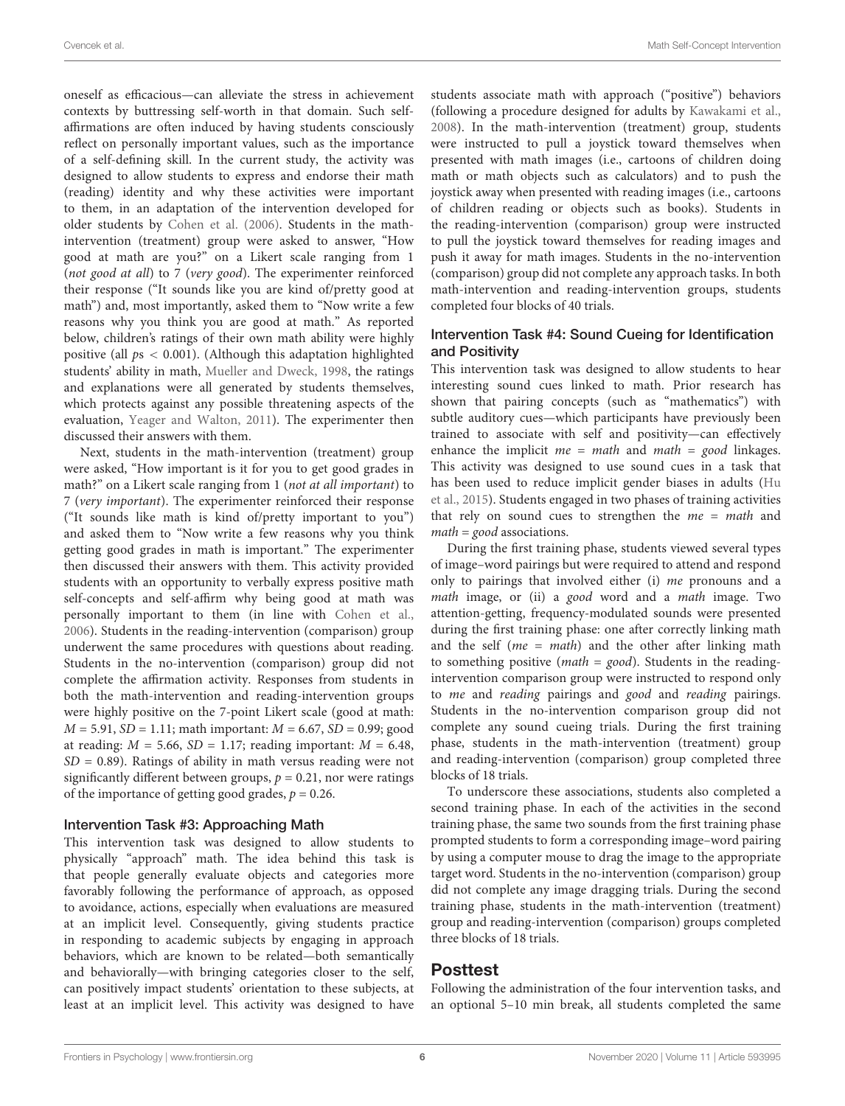oneself as efficacious—can alleviate the stress in achievement contexts by buttressing self-worth in that domain. Such selfaffirmations are often induced by having students consciously reflect on personally important values, such as the importance of a self-defining skill. In the current study, the activity was designed to allow students to express and endorse their math (reading) identity and why these activities were important to them, in an adaptation of the intervention developed for older students by [Cohen et al.](#page-11-14) [\(2006\)](#page-11-14). Students in the mathintervention (treatment) group were asked to answer, "How good at math are you?" on a Likert scale ranging from 1 (not good at all) to 7 (very good). The experimenter reinforced their response ("It sounds like you are kind of/pretty good at math") and, most importantly, asked them to "Now write a few reasons why you think you are good at math." As reported below, children's ratings of their own math ability were highly positive (all  $ps < 0.001$ ). (Although this adaptation highlighted students' ability in math, [Mueller and Dweck,](#page-12-24) [1998,](#page-12-24) the ratings and explanations were all generated by students themselves, which protects against any possible threatening aspects of the evaluation, [Yeager and Walton,](#page-13-1) [2011\)](#page-13-1). The experimenter then discussed their answers with them.

Next, students in the math-intervention (treatment) group were asked, "How important is it for you to get good grades in math?" on a Likert scale ranging from 1 (not at all important) to 7 (very important). The experimenter reinforced their response ("It sounds like math is kind of/pretty important to you") and asked them to "Now write a few reasons why you think getting good grades in math is important." The experimenter then discussed their answers with them. This activity provided students with an opportunity to verbally express positive math self-concepts and self-affirm why being good at math was personally important to them (in line with [Cohen et al.,](#page-11-14) [2006\)](#page-11-14). Students in the reading-intervention (comparison) group underwent the same procedures with questions about reading. Students in the no-intervention (comparison) group did not complete the affirmation activity. Responses from students in both the math-intervention and reading-intervention groups were highly positive on the 7-point Likert scale (good at math:  $M = 5.91$ ,  $SD = 1.11$ ; math important:  $M = 6.67$ ,  $SD = 0.99$ ; good at reading:  $M = 5.66$ ,  $SD = 1.17$ ; reading important:  $M = 6.48$ ,  $SD = 0.89$ ). Ratings of ability in math versus reading were not significantly different between groups,  $p = 0.21$ , nor were ratings of the importance of getting good grades,  $p = 0.26$ .

#### Intervention Task #3: Approaching Math

This intervention task was designed to allow students to physically "approach" math. The idea behind this task is that people generally evaluate objects and categories more favorably following the performance of approach, as opposed to avoidance, actions, especially when evaluations are measured at an implicit level. Consequently, giving students practice in responding to academic subjects by engaging in approach behaviors, which are known to be related—both semantically and behaviorally—with bringing categories closer to the self, can positively impact students' orientation to these subjects, at least at an implicit level. This activity was designed to have

students associate math with approach ("positive") behaviors (following a procedure designed for adults by [Kawakami et al.,](#page-12-15) [2008\)](#page-12-15). In the math-intervention (treatment) group, students were instructed to pull a joystick toward themselves when presented with math images (i.e., cartoons of children doing math or math objects such as calculators) and to push the joystick away when presented with reading images (i.e., cartoons of children reading or objects such as books). Students in the reading-intervention (comparison) group were instructed to pull the joystick toward themselves for reading images and push it away for math images. Students in the no-intervention (comparison) group did not complete any approach tasks. In both math-intervention and reading-intervention groups, students completed four blocks of 40 trials.

### Intervention Task #4: Sound Cueing for Identification and Positivity

This intervention task was designed to allow students to hear interesting sound cues linked to math. Prior research has shown that pairing concepts (such as "mathematics") with subtle auditory cues—which participants have previously been trained to associate with self and positivity—can effectively enhance the implicit  $me = math$  and  $math = good$  linkages. This activity was designed to use sound cues in a task that has been used to reduce implicit gender biases in adults [\(Hu](#page-12-16) [et al.,](#page-12-16) [2015\)](#page-12-16). Students engaged in two phases of training activities that rely on sound cues to strengthen the  $me = math$  and  $math = good$  associations.

During the first training phase, students viewed several types of image–word pairings but were required to attend and respond only to pairings that involved either (i) me pronouns and a math image, or (ii) a good word and a math image. Two attention-getting, frequency-modulated sounds were presented during the first training phase: one after correctly linking math and the self ( $me = math$ ) and the other after linking math to something positive (*math* =  $good$ ). Students in the readingintervention comparison group were instructed to respond only to me and reading pairings and good and reading pairings. Students in the no-intervention comparison group did not complete any sound cueing trials. During the first training phase, students in the math-intervention (treatment) group and reading-intervention (comparison) group completed three blocks of 18 trials.

To underscore these associations, students also completed a second training phase. In each of the activities in the second training phase, the same two sounds from the first training phase prompted students to form a corresponding image–word pairing by using a computer mouse to drag the image to the appropriate target word. Students in the no-intervention (comparison) group did not complete any image dragging trials. During the second training phase, students in the math-intervention (treatment) group and reading-intervention (comparison) groups completed three blocks of 18 trials.

### Posttest

Following the administration of the four intervention tasks, and an optional 5–10 min break, all students completed the same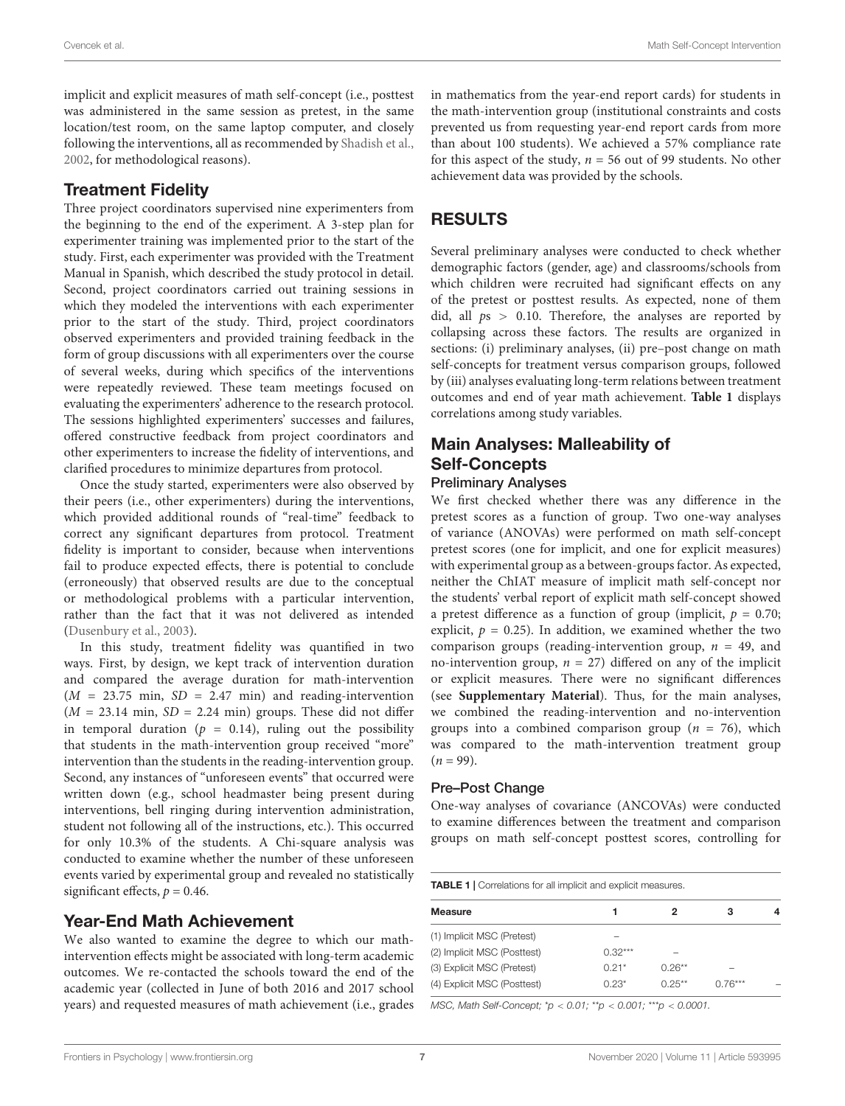implicit and explicit measures of math self-concept (i.e., posttest was administered in the same session as pretest, in the same location/test room, on the same laptop computer, and closely following the interventions, all as recommended by [Shadish et al.,](#page-12-21) [2002,](#page-12-21) for methodological reasons).

# Treatment Fidelity

Three project coordinators supervised nine experimenters from the beginning to the end of the experiment. A 3-step plan for experimenter training was implemented prior to the start of the study. First, each experimenter was provided with the Treatment Manual in Spanish, which described the study protocol in detail. Second, project coordinators carried out training sessions in which they modeled the interventions with each experimenter prior to the start of the study. Third, project coordinators observed experimenters and provided training feedback in the form of group discussions with all experimenters over the course of several weeks, during which specifics of the interventions were repeatedly reviewed. These team meetings focused on evaluating the experimenters' adherence to the research protocol. The sessions highlighted experimenters' successes and failures, offered constructive feedback from project coordinators and other experimenters to increase the fidelity of interventions, and clarified procedures to minimize departures from protocol.

Once the study started, experimenters were also observed by their peers (i.e., other experimenters) during the interventions, which provided additional rounds of "real-time" feedback to correct any significant departures from protocol. Treatment fidelity is important to consider, because when interventions fail to produce expected effects, there is potential to conclude (erroneously) that observed results are due to the conceptual or methodological problems with a particular intervention, rather than the fact that it was not delivered as intended [\(Dusenbury et al.,](#page-11-21) [2003\)](#page-11-21).

In this study, treatment fidelity was quantified in two ways. First, by design, we kept track of intervention duration and compared the average duration for math-intervention  $(M = 23.75$  min,  $SD = 2.47$  min) and reading-intervention  $(M = 23.14 \text{ min}, SD = 2.24 \text{ min})$  groups. These did not differ in temporal duration ( $p = 0.14$ ), ruling out the possibility that students in the math-intervention group received "more" intervention than the students in the reading-intervention group. Second, any instances of "unforeseen events" that occurred were written down (e.g., school headmaster being present during interventions, bell ringing during intervention administration, student not following all of the instructions, etc.). This occurred for only 10.3% of the students. A Chi-square analysis was conducted to examine whether the number of these unforeseen events varied by experimental group and revealed no statistically significant effects,  $p = 0.46$ .

# Year-End Math Achievement

We also wanted to examine the degree to which our mathintervention effects might be associated with long-term academic outcomes. We re-contacted the schools toward the end of the academic year (collected in June of both 2016 and 2017 school years) and requested measures of math achievement (i.e., grades in mathematics from the year-end report cards) for students in the math-intervention group (institutional constraints and costs prevented us from requesting year-end report cards from more than about 100 students). We achieved a 57% compliance rate for this aspect of the study,  $n = 56$  out of 99 students. No other achievement data was provided by the schools.

# RESULTS

Several preliminary analyses were conducted to check whether demographic factors (gender, age) and classrooms/schools from which children were recruited had significant effects on any of the pretest or posttest results. As expected, none of them did, all  $ps > 0.10$ . Therefore, the analyses are reported by collapsing across these factors. The results are organized in sections: (i) preliminary analyses, (ii) pre–post change on math self-concepts for treatment versus comparison groups, followed by (iii) analyses evaluating long-term relations between treatment outcomes and end of year math achievement. **[Table 1](#page-6-0)** displays correlations among study variables.

# Main Analyses: Malleability of Self-Concepts

### Preliminary Analyses

We first checked whether there was any difference in the pretest scores as a function of group. Two one-way analyses of variance (ANOVAs) were performed on math self-concept pretest scores (one for implicit, and one for explicit measures) with experimental group as a between-groups factor. As expected, neither the ChIAT measure of implicit math self-concept nor the students' verbal report of explicit math self-concept showed a pretest difference as a function of group (implicit,  $p = 0.70$ ; explicit,  $p = 0.25$ ). In addition, we examined whether the two comparison groups (reading-intervention group,  $n = 49$ , and no-intervention group,  $n = 27$ ) differed on any of the implicit or explicit measures. There were no significant differences (see **[Supplementary Material](#page-11-7)**). Thus, for the main analyses, we combined the reading-intervention and no-intervention groups into a combined comparison group ( $n = 76$ ), which was compared to the math-intervention treatment group  $(n = 99)$ .

### Pre–Post Change

One-way analyses of covariance (ANCOVAs) were conducted to examine differences between the treatment and comparison groups on math self-concept posttest scores, controlling for

<span id="page-6-0"></span>

| <b>Measure</b>              |           |          | з         | 4                        |
|-----------------------------|-----------|----------|-----------|--------------------------|
| (1) Implicit MSC (Pretest)  |           |          |           |                          |
| (2) Implicit MSC (Posttest) | $0.32***$ |          |           |                          |
| (3) Explicit MSC (Pretest)  | $0.21*$   | $0.26**$ |           |                          |
| (4) Explicit MSC (Posttest) | $0.23*$   | $0.25**$ | $0.76***$ | $\overline{\phantom{a}}$ |

MSC, Math Self-Concept; \*p < 0.01; \*\*p < 0.001; \*\*\*p < 0.0001.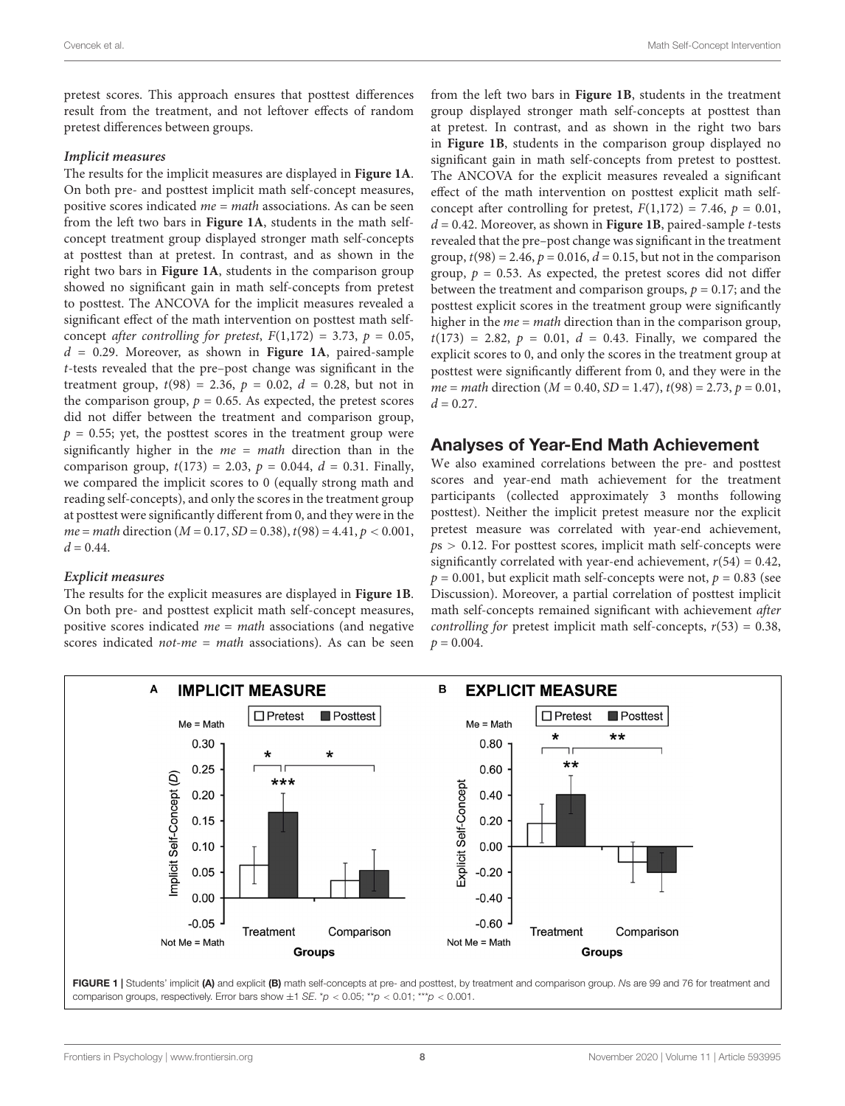pretest scores. This approach ensures that posttest differences result from the treatment, and not leftover effects of random pretest differences between groups.

#### **Implicit measures**

The results for the implicit measures are displayed in **[Figure 1A](#page-7-0)**. On both pre- and posttest implicit math self-concept measures, positive scores indicated  $me = math$  associations. As can be seen from the left two bars in **[Figure 1A](#page-7-0)**, students in the math selfconcept treatment group displayed stronger math self-concepts at posttest than at pretest. In contrast, and as shown in the right two bars in **[Figure 1A](#page-7-0)**, students in the comparison group showed no significant gain in math self-concepts from pretest to posttest. The ANCOVA for the implicit measures revealed a significant effect of the math intervention on posttest math selfconcept after controlling for pretest,  $F(1,172) = 3.73$ ,  $p = 0.05$ , d = 0.29. Moreover, as shown in **[Figure 1A](#page-7-0)**, paired-sample t-tests revealed that the pre–post change was significant in the treatment group,  $t(98) = 2.36$ ,  $p = 0.02$ ,  $d = 0.28$ , but not in the comparison group,  $p = 0.65$ . As expected, the pretest scores did not differ between the treatment and comparison group,  $p = 0.55$ ; yet, the posttest scores in the treatment group were significantly higher in the  $me = math$  direction than in the comparison group,  $t(173) = 2.03$ ,  $p = 0.044$ ,  $d = 0.31$ . Finally, we compared the implicit scores to 0 (equally strong math and reading self-concepts), and only the scores in the treatment group at posttest were significantly different from 0, and they were in the  $me = math direction (M = 0.17, SD = 0.38), t(98) = 4.41, p < 0.001,$  $d = 0.44$ .

#### **Explicit measures**

The results for the explicit measures are displayed in **[Figure 1B](#page-7-0)**. On both pre- and posttest explicit math self-concept measures, positive scores indicated  $me = math$  associations (and negative scores indicated *not-me* = *math* associations). As can be seen

from the left two bars in **[Figure 1B](#page-7-0)**, students in the treatment group displayed stronger math self-concepts at posttest than at pretest. In contrast, and as shown in the right two bars in **[Figure 1B](#page-7-0)**, students in the comparison group displayed no significant gain in math self-concepts from pretest to posttest. The ANCOVA for the explicit measures revealed a significant effect of the math intervention on posttest explicit math selfconcept after controlling for pretest,  $F(1,172) = 7.46$ ,  $p = 0.01$ ,  $d = 0.42$ . Moreover, as shown in **[Figure 1B](#page-7-0)**, paired-sample *t*-tests revealed that the pre–post change was significant in the treatment group,  $t(98) = 2.46$ ,  $p = 0.016$ ,  $d = 0.15$ , but not in the comparison group,  $p = 0.53$ . As expected, the pretest scores did not differ between the treatment and comparison groups,  $p = 0.17$ ; and the posttest explicit scores in the treatment group were significantly higher in the  $me = math$  direction than in the comparison group,  $t(173) = 2.82, p = 0.01, d = 0.43$ . Finally, we compared the explicit scores to 0, and only the scores in the treatment group at posttest were significantly different from 0, and they were in the  $me = math direction (M = 0.40, SD = 1.47), t(98) = 2.73, p = 0.01,$  $d = 0.27$ .

### Analyses of Year-End Math Achievement

We also examined correlations between the pre- and posttest scores and year-end math achievement for the treatment participants (collected approximately 3 months following posttest). Neither the implicit pretest measure nor the explicit pretest measure was correlated with year-end achievement,  $ps > 0.12$ . For posttest scores, implicit math self-concepts were significantly correlated with year-end achievement,  $r(54) = 0.42$ ,  $p = 0.001$ , but explicit math self-concepts were not,  $p = 0.83$  (see Discussion). Moreover, a partial correlation of posttest implicit math self-concepts remained significant with achievement after *controlling for pretest implicit math self-concepts,*  $r(53) = 0.38$ *,*  $p = 0.004$ .



<span id="page-7-0"></span>FIGURE 1 | Students' implicit (A) and explicit (B) math self-concepts at pre- and posttest, by treatment and comparison group. Ns are 99 and 76 for treatment and comparison groups, respectively. Error bars show  $\pm 1$  SE. \*p < 0.05; \*\*p < 0.01; \*\*\*p < 0.001.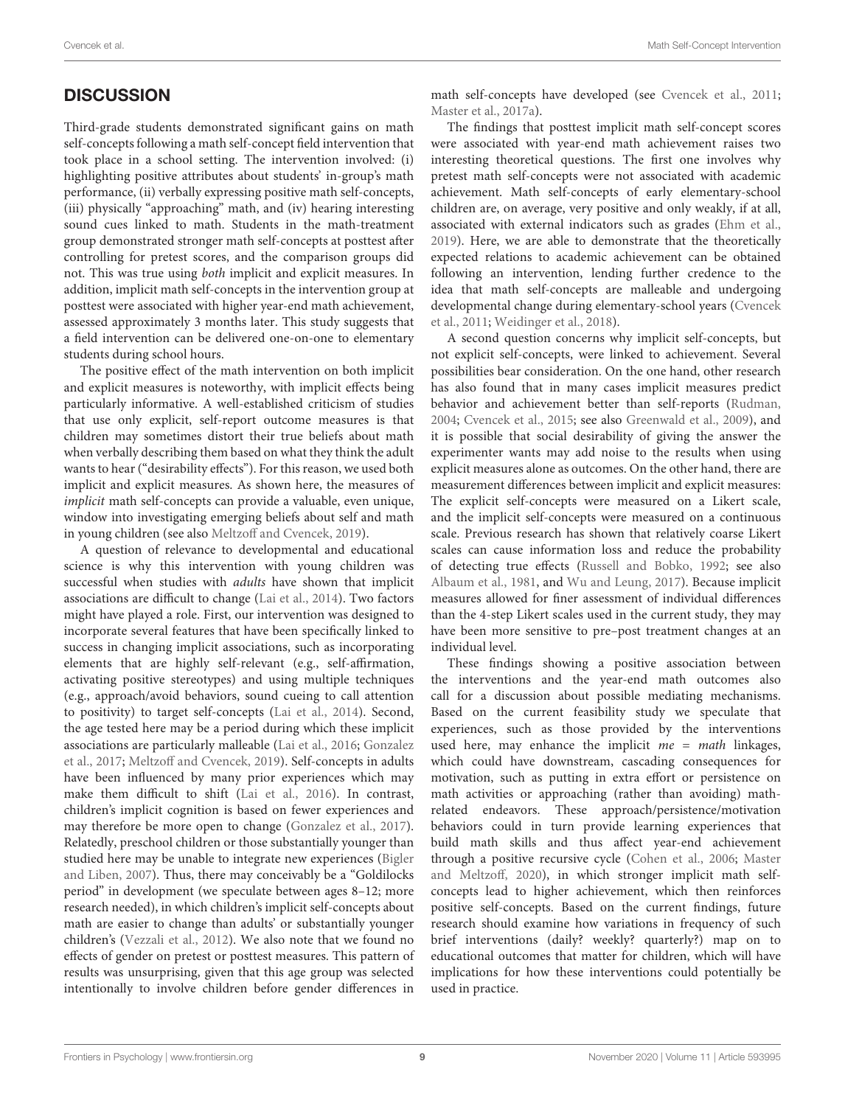# **DISCUSSION**

Third-grade students demonstrated significant gains on math self-concepts following a math self-concept field intervention that took place in a school setting. The intervention involved: (i) highlighting positive attributes about students' in-group's math performance, (ii) verbally expressing positive math self-concepts, (iii) physically "approaching" math, and (iv) hearing interesting sound cues linked to math. Students in the math-treatment group demonstrated stronger math self-concepts at posttest after controlling for pretest scores, and the comparison groups did not. This was true using both implicit and explicit measures. In addition, implicit math self-concepts in the intervention group at posttest were associated with higher year-end math achievement, assessed approximately 3 months later. This study suggests that a field intervention can be delivered one-on-one to elementary students during school hours.

The positive effect of the math intervention on both implicit and explicit measures is noteworthy, with implicit effects being particularly informative. A well-established criticism of studies that use only explicit, self-report outcome measures is that children may sometimes distort their true beliefs about math when verbally describing them based on what they think the adult wants to hear ("desirability effects"). For this reason, we used both implicit and explicit measures. As shown here, the measures of implicit math self-concepts can provide a valuable, even unique, window into investigating emerging beliefs about self and math in young children (see also [Meltzoff and Cvencek,](#page-12-12) [2019\)](#page-12-12).

A question of relevance to developmental and educational science is why this intervention with young children was successful when studies with adults have shown that implicit associations are difficult to change [\(Lai et al.,](#page-12-25) [2014\)](#page-12-25). Two factors might have played a role. First, our intervention was designed to incorporate several features that have been specifically linked to success in changing implicit associations, such as incorporating elements that are highly self-relevant (e.g., self-affirmation, activating positive stereotypes) and using multiple techniques (e.g., approach/avoid behaviors, sound cueing to call attention to positivity) to target self-concepts [\(Lai et al.,](#page-12-25) [2014\)](#page-12-25). Second, the age tested here may be a period during which these implicit associations are particularly malleable [\(Lai et al.,](#page-12-26) [2016;](#page-12-26) [Gonzalez](#page-11-10) [et al.,](#page-11-10) [2017;](#page-11-10) [Meltzoff and Cvencek,](#page-12-12) [2019\)](#page-12-12). Self-concepts in adults have been influenced by many prior experiences which may make them difficult to shift [\(Lai et al.,](#page-12-26) [2016\)](#page-12-26). In contrast, children's implicit cognition is based on fewer experiences and may therefore be more open to change [\(Gonzalez et al.,](#page-11-10) [2017\)](#page-11-10). Relatedly, preschool children or those substantially younger than studied here may be unable to integrate new experiences [\(Bigler](#page-11-22) [and Liben,](#page-11-22) [2007\)](#page-11-22). Thus, there may conceivably be a "Goldilocks period" in development (we speculate between ages 8–12; more research needed), in which children's implicit self-concepts about math are easier to change than adults' or substantially younger children's [\(Vezzali et al.,](#page-13-2) [2012\)](#page-13-2). We also note that we found no effects of gender on pretest or posttest measures. This pattern of results was unsurprising, given that this age group was selected intentionally to involve children before gender differences in

math self-concepts have developed (see [Cvencek et al.,](#page-11-4) [2011;](#page-11-4) [Master et al.,](#page-12-23) [2017a\)](#page-12-23).

The findings that posttest implicit math self-concept scores were associated with year-end math achievement raises two interesting theoretical questions. The first one involves why pretest math self-concepts were not associated with academic achievement. Math self-concepts of early elementary-school children are, on average, very positive and only weakly, if at all, associated with external indicators such as grades [\(Ehm et al.,](#page-11-11) [2019\)](#page-11-11). Here, we are able to demonstrate that the theoretically expected relations to academic achievement can be obtained following an intervention, lending further credence to the idea that math self-concepts are malleable and undergoing developmental change during elementary-school years [\(Cvencek](#page-11-4) [et al.,](#page-11-4) [2011;](#page-11-4) [Weidinger et al.,](#page-13-0) [2018\)](#page-13-0).

A second question concerns why implicit self-concepts, but not explicit self-concepts, were linked to achievement. Several possibilities bear consideration. On the one hand, other research has also found that in many cases implicit measures predict behavior and achievement better than self-reports [\(Rudman,](#page-12-27) [2004;](#page-12-27) [Cvencek et al.,](#page-11-8) [2015;](#page-11-8) see also [Greenwald et al.,](#page-11-23) [2009\)](#page-11-23), and it is possible that social desirability of giving the answer the experimenter wants may add noise to the results when using explicit measures alone as outcomes. On the other hand, there are measurement differences between implicit and explicit measures: The explicit self-concepts were measured on a Likert scale, and the implicit self-concepts were measured on a continuous scale. Previous research has shown that relatively coarse Likert scales can cause information loss and reduce the probability of detecting true effects [\(Russell and Bobko,](#page-12-28) [1992;](#page-12-28) see also [Albaum et al.,](#page-11-24) [1981,](#page-11-24) and [Wu and Leung,](#page-13-3) [2017\)](#page-13-3). Because implicit measures allowed for finer assessment of individual differences than the 4-step Likert scales used in the current study, they may have been more sensitive to pre–post treatment changes at an individual level.

These findings showing a positive association between the interventions and the year-end math outcomes also call for a discussion about possible mediating mechanisms. Based on the current feasibility study we speculate that experiences, such as those provided by the interventions used here, may enhance the implicit  $me = math$  linkages, which could have downstream, cascading consequences for motivation, such as putting in extra effort or persistence on math activities or approaching (rather than avoiding) mathrelated endeavors. These approach/persistence/motivation behaviors could in turn provide learning experiences that build math skills and thus affect year-end achievement through a positive recursive cycle [\(Cohen et al.,](#page-11-14) [2006;](#page-11-14) [Master](#page-12-14) [and Meltzoff,](#page-12-14) [2020\)](#page-12-14), in which stronger implicit math selfconcepts lead to higher achievement, which then reinforces positive self-concepts. Based on the current findings, future research should examine how variations in frequency of such brief interventions (daily? weekly? quarterly?) map on to educational outcomes that matter for children, which will have implications for how these interventions could potentially be used in practice.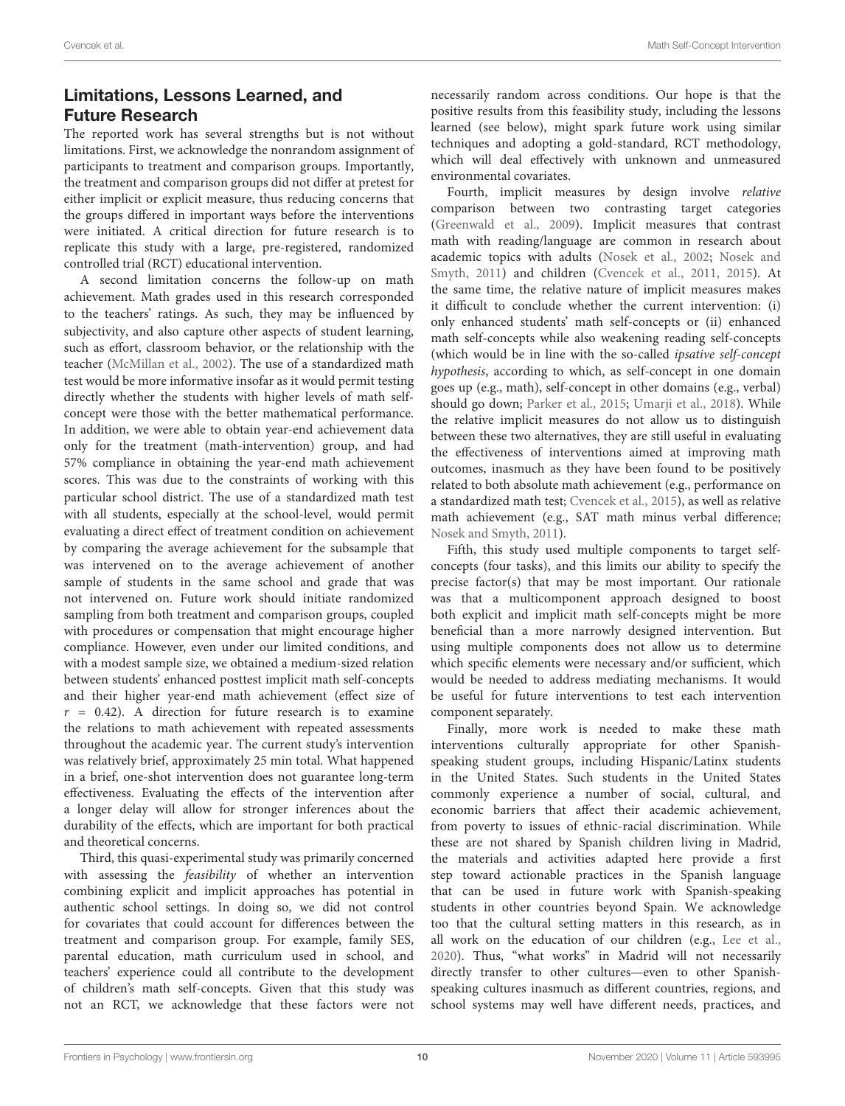# Limitations, Lessons Learned, and Future Research

The reported work has several strengths but is not without limitations. First, we acknowledge the nonrandom assignment of participants to treatment and comparison groups. Importantly, the treatment and comparison groups did not differ at pretest for either implicit or explicit measure, thus reducing concerns that the groups differed in important ways before the interventions were initiated. A critical direction for future research is to replicate this study with a large, pre-registered, randomized controlled trial (RCT) educational intervention.

A second limitation concerns the follow-up on math achievement. Math grades used in this research corresponded to the teachers' ratings. As such, they may be influenced by subjectivity, and also capture other aspects of student learning, such as effort, classroom behavior, or the relationship with the teacher [\(McMillan et al.,](#page-12-29) [2002\)](#page-12-29). The use of a standardized math test would be more informative insofar as it would permit testing directly whether the students with higher levels of math selfconcept were those with the better mathematical performance. In addition, we were able to obtain year-end achievement data only for the treatment (math-intervention) group, and had 57% compliance in obtaining the year-end math achievement scores. This was due to the constraints of working with this particular school district. The use of a standardized math test with all students, especially at the school-level, would permit evaluating a direct effect of treatment condition on achievement by comparing the average achievement for the subsample that was intervened on to the average achievement of another sample of students in the same school and grade that was not intervened on. Future work should initiate randomized sampling from both treatment and comparison groups, coupled with procedures or compensation that might encourage higher compliance. However, even under our limited conditions, and with a modest sample size, we obtained a medium-sized relation between students' enhanced posttest implicit math self-concepts and their higher year-end math achievement (effect size of  $r = 0.42$ ). A direction for future research is to examine the relations to math achievement with repeated assessments throughout the academic year. The current study's intervention was relatively brief, approximately 25 min total. What happened in a brief, one-shot intervention does not guarantee long-term effectiveness. Evaluating the effects of the intervention after a longer delay will allow for stronger inferences about the durability of the effects, which are important for both practical and theoretical concerns.

Third, this quasi-experimental study was primarily concerned with assessing the feasibility of whether an intervention combining explicit and implicit approaches has potential in authentic school settings. In doing so, we did not control for covariates that could account for differences between the treatment and comparison group. For example, family SES, parental education, math curriculum used in school, and teachers' experience could all contribute to the development of children's math self-concepts. Given that this study was not an RCT, we acknowledge that these factors were not

necessarily random across conditions. Our hope is that the positive results from this feasibility study, including the lessons learned (see below), might spark future work using similar techniques and adopting a gold-standard, RCT methodology, which will deal effectively with unknown and unmeasured environmental covariates.

Fourth, implicit measures by design involve relative comparison between two contrasting target categories [\(Greenwald et al.,](#page-11-23) [2009\)](#page-11-23). Implicit measures that contrast math with reading/language are common in research about academic topics with adults [\(Nosek et al.,](#page-12-30) [2002;](#page-12-30) [Nosek and](#page-12-31) [Smyth,](#page-12-31) [2011\)](#page-12-31) and children [\(Cvencek et al.,](#page-11-4) [2011,](#page-11-4) [2015\)](#page-11-8). At the same time, the relative nature of implicit measures makes it difficult to conclude whether the current intervention: (i) only enhanced students' math self-concepts or (ii) enhanced math self-concepts while also weakening reading self-concepts (which would be in line with the so-called ipsative self-concept hypothesis, according to which, as self-concept in one domain goes up (e.g., math), self-concept in other domains (e.g., verbal) should go down; [Parker et al.,](#page-12-32) [2015;](#page-12-32) [Umarji et al.,](#page-13-4) [2018\)](#page-13-4). While the relative implicit measures do not allow us to distinguish between these two alternatives, they are still useful in evaluating the effectiveness of interventions aimed at improving math outcomes, inasmuch as they have been found to be positively related to both absolute math achievement (e.g., performance on a standardized math test; [Cvencek et al.,](#page-11-8) [2015\)](#page-11-8), as well as relative math achievement (e.g., SAT math minus verbal difference; [Nosek and Smyth,](#page-12-31) [2011\)](#page-12-31).

Fifth, this study used multiple components to target selfconcepts (four tasks), and this limits our ability to specify the precise factor(s) that may be most important. Our rationale was that a multicomponent approach designed to boost both explicit and implicit math self-concepts might be more beneficial than a more narrowly designed intervention. But using multiple components does not allow us to determine which specific elements were necessary and/or sufficient, which would be needed to address mediating mechanisms. It would be useful for future interventions to test each intervention component separately.

Finally, more work is needed to make these math interventions culturally appropriate for other Spanishspeaking student groups, including Hispanic/Latinx students in the United States. Such students in the United States commonly experience a number of social, cultural, and economic barriers that affect their academic achievement, from poverty to issues of ethnic-racial discrimination. While these are not shared by Spanish children living in Madrid, the materials and activities adapted here provide a first step toward actionable practices in the Spanish language that can be used in future work with Spanish-speaking students in other countries beyond Spain. We acknowledge too that the cultural setting matters in this research, as in all work on the education of our children (e.g., [Lee et al.,](#page-12-33) [2020\)](#page-12-33). Thus, "what works" in Madrid will not necessarily directly transfer to other cultures—even to other Spanishspeaking cultures inasmuch as different countries, regions, and school systems may well have different needs, practices, and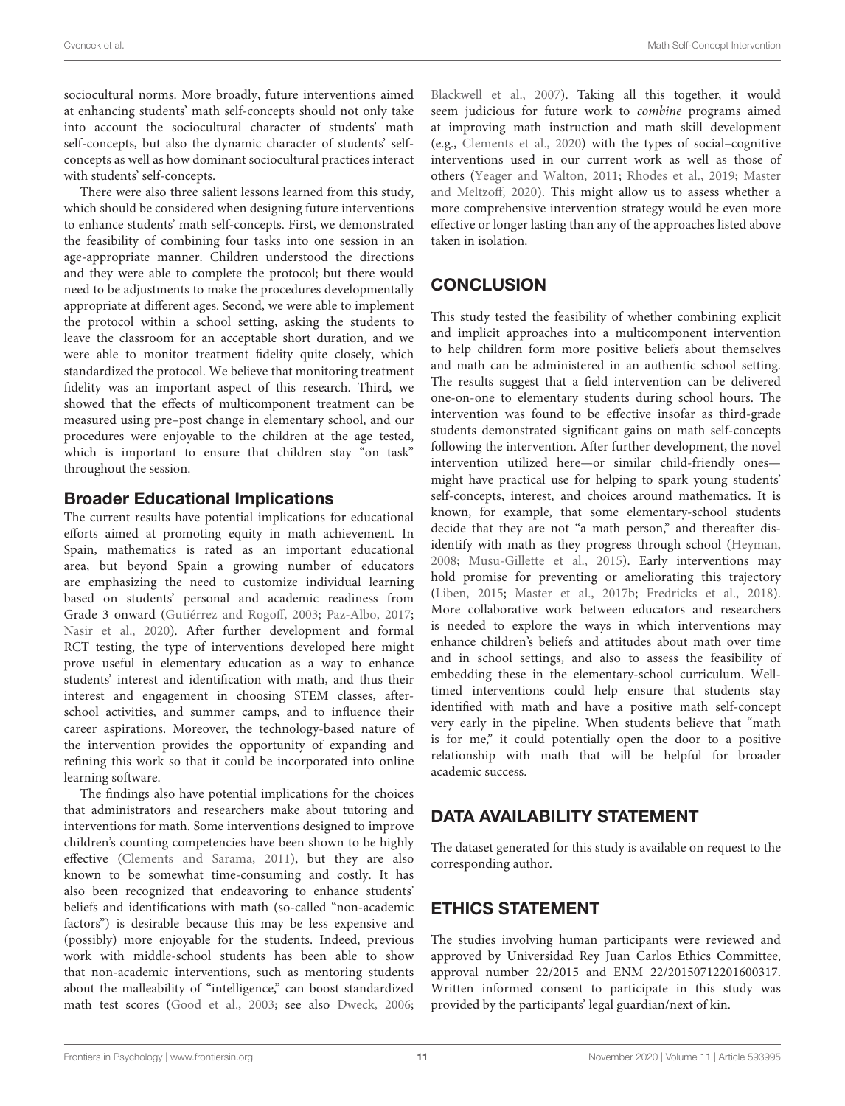sociocultural norms. More broadly, future interventions aimed at enhancing students' math self-concepts should not only take into account the sociocultural character of students' math self-concepts, but also the dynamic character of students' selfconcepts as well as how dominant sociocultural practices interact with students' self-concepts.

There were also three salient lessons learned from this study, which should be considered when designing future interventions to enhance students' math self-concepts. First, we demonstrated the feasibility of combining four tasks into one session in an age-appropriate manner. Children understood the directions and they were able to complete the protocol; but there would need to be adjustments to make the procedures developmentally appropriate at different ages. Second, we were able to implement the protocol within a school setting, asking the students to leave the classroom for an acceptable short duration, and we were able to monitor treatment fidelity quite closely, which standardized the protocol. We believe that monitoring treatment fidelity was an important aspect of this research. Third, we showed that the effects of multicomponent treatment can be measured using pre–post change in elementary school, and our procedures were enjoyable to the children at the age tested, which is important to ensure that children stay "on task" throughout the session.

# Broader Educational Implications

The current results have potential implications for educational efforts aimed at promoting equity in math achievement. In Spain, mathematics is rated as an important educational area, but beyond Spain a growing number of educators are emphasizing the need to customize individual learning based on students' personal and academic readiness from Grade 3 onward [\(Gutiérrez and Rogoff,](#page-12-34) [2003;](#page-12-34) [Paz-Albo,](#page-12-35) [2017;](#page-12-35) [Nasir et al.,](#page-12-36) [2020\)](#page-12-36). After further development and formal RCT testing, the type of interventions developed here might prove useful in elementary education as a way to enhance students' interest and identification with math, and thus their interest and engagement in choosing STEM classes, afterschool activities, and summer camps, and to influence their career aspirations. Moreover, the technology-based nature of the intervention provides the opportunity of expanding and refining this work so that it could be incorporated into online learning software.

The findings also have potential implications for the choices that administrators and researchers make about tutoring and interventions for math. Some interventions designed to improve children's counting competencies have been shown to be highly effective [\(Clements and Sarama,](#page-11-25) [2011\)](#page-11-25), but they are also known to be somewhat time-consuming and costly. It has also been recognized that endeavoring to enhance students' beliefs and identifications with math (so-called "non-academic factors") is desirable because this may be less expensive and (possibly) more enjoyable for the students. Indeed, previous work with middle-school students has been able to show that non-academic interventions, such as mentoring students about the malleability of "intelligence," can boost standardized math test scores [\(Good et al.,](#page-11-26) [2003;](#page-11-26) see also [Dweck,](#page-11-27) [2006;](#page-11-27)

[Blackwell et al.,](#page-11-28) [2007\)](#page-11-28). Taking all this together, it would seem judicious for future work to combine programs aimed at improving math instruction and math skill development (e.g., [Clements et al.,](#page-11-29) [2020\)](#page-11-29) with the types of social–cognitive interventions used in our current work as well as those of others [\(Yeager and Walton,](#page-13-1) [2011;](#page-13-1) [Rhodes et al.,](#page-12-37) [2019;](#page-12-37) [Master](#page-12-14) [and Meltzoff,](#page-12-14) [2020\)](#page-12-14). This might allow us to assess whether a more comprehensive intervention strategy would be even more effective or longer lasting than any of the approaches listed above taken in isolation.

# **CONCLUSION**

This study tested the feasibility of whether combining explicit and implicit approaches into a multicomponent intervention to help children form more positive beliefs about themselves and math can be administered in an authentic school setting. The results suggest that a field intervention can be delivered one-on-one to elementary students during school hours. The intervention was found to be effective insofar as third-grade students demonstrated significant gains on math self-concepts following the intervention. After further development, the novel intervention utilized here—or similar child-friendly ones might have practical use for helping to spark young students' self-concepts, interest, and choices around mathematics. It is known, for example, that some elementary-school students decide that they are not "a math person," and thereafter disidentify with math as they progress through school [\(Heyman,](#page-12-38) [2008;](#page-12-38) [Musu-Gillette et al.,](#page-12-39) [2015\)](#page-12-39). Early interventions may hold promise for preventing or ameliorating this trajectory [\(Liben,](#page-12-40) [2015;](#page-12-40) [Master et al.,](#page-12-41) [2017b;](#page-12-41) [Fredricks et al.,](#page-11-30) [2018\)](#page-11-30). More collaborative work between educators and researchers is needed to explore the ways in which interventions may enhance children's beliefs and attitudes about math over time and in school settings, and also to assess the feasibility of embedding these in the elementary-school curriculum. Welltimed interventions could help ensure that students stay identified with math and have a positive math self-concept very early in the pipeline. When students believe that "math is for me," it could potentially open the door to a positive relationship with math that will be helpful for broader academic success.

# DATA AVAILABILITY STATEMENT

The dataset generated for this study is available on request to the corresponding author.

# ETHICS STATEMENT

The studies involving human participants were reviewed and approved by Universidad Rey Juan Carlos Ethics Committee, approval number 22/2015 and ENM 22/20150712201600317. Written informed consent to participate in this study was provided by the participants' legal guardian/next of kin.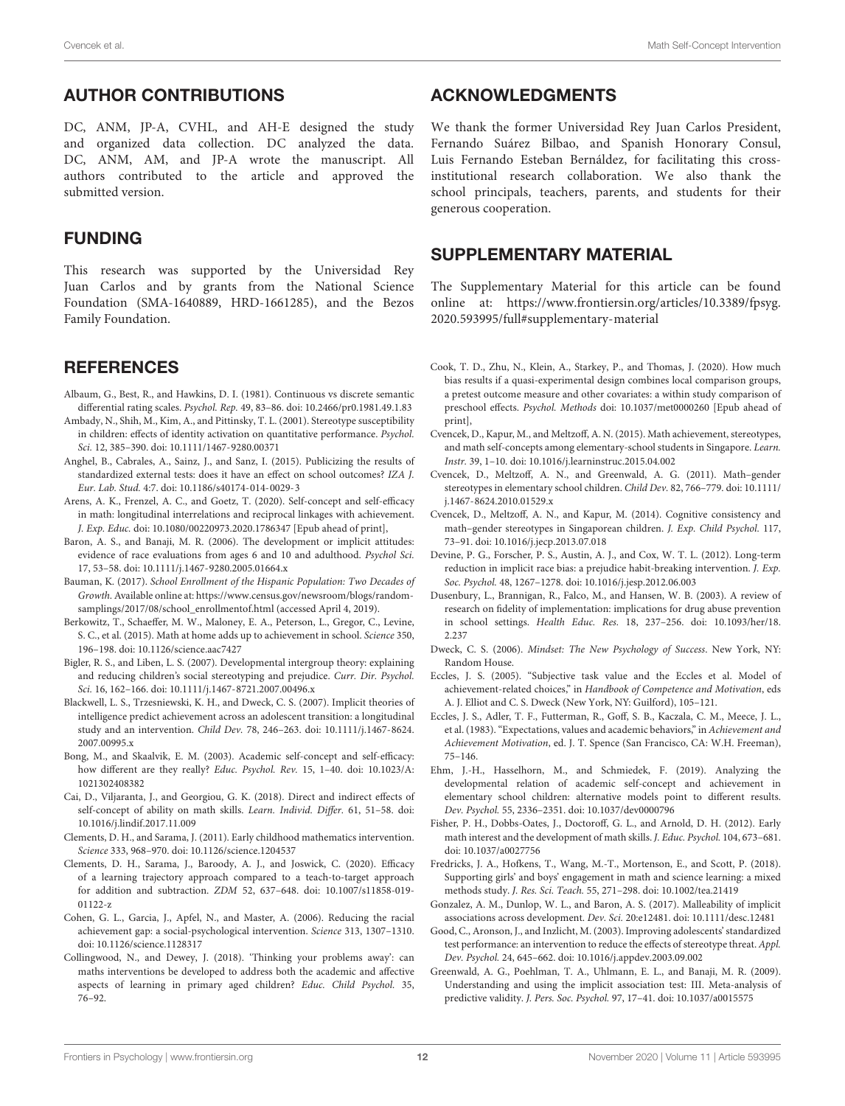# AUTHOR CONTRIBUTIONS

DC, ANM, JP-A, CVHL, and AH-E designed the study and organized data collection. DC analyzed the data. DC, ANM, AM, and JP-A wrote the manuscript. All authors contributed to the article and approved the submitted version.

# FUNDING

This research was supported by the Universidad Rey Juan Carlos and by grants from the National Science Foundation (SMA-1640889, HRD-1661285), and the Bezos Family Foundation.

# **REFERENCES**

- <span id="page-11-24"></span>Albaum, G., Best, R., and Hawkins, D. I. (1981). Continuous vs discrete semantic differential rating scales. Psychol. Rep. 49, 83–86. [doi: 10.2466/pr0.1981.49.1.83](https://doi.org/10.2466/pr0.1981.49.1.83)
- <span id="page-11-13"></span>Ambady, N., Shih, M., Kim, A., and Pittinsky, T. L. (2001). Stereotype susceptibility in children: effects of identity activation on quantitative performance. Psychol. Sci. 12, 385–390. [doi: 10.1111/1467-9280.00371](https://doi.org/10.1111/1467-9280.00371)
- <span id="page-11-15"></span>Anghel, B., Cabrales, A., Sainz, J., and Sanz, I. (2015). Publicizing the results of standardized external tests: does it have an effect on school outcomes? IZA J. Eur. Lab. Stud. 4:7. [doi: 10.1186/s40174-014-0029-3](https://doi.org/10.1186/s40174-014-0029-3)
- <span id="page-11-1"></span>Arens, A. K., Frenzel, A. C., and Goetz, T. (2020). Self-concept and self-efficacy in math: longitudinal interrelations and reciprocal linkages with achievement. J. Exp. Educ. [doi: 10.1080/00220973.2020.1786347](https://doi.org/10.1080/00220973.2020.1786347) [Epub ahead of print],
- <span id="page-11-19"></span>Baron, A. S., and Banaji, M. R. (2006). The development or implicit attitudes: evidence of race evaluations from ages 6 and 10 and adulthood. Psychol Sci. 17, 53–58. [doi: 10.1111/j.1467-9280.2005.01664.x](https://doi.org/10.1111/j.1467-9280.2005.01664.x)
- <span id="page-11-16"></span>Bauman, K. (2017). School Enrollment of the Hispanic Population: Two Decades of Growth. Available online at: [https://www.census.gov/newsroom/blogs/random](https://www.census.gov/newsroom/blogs/random-samplings/2017/08/school_enrollmentof.html)[samplings/2017/08/school\\_enrollmentof.html](https://www.census.gov/newsroom/blogs/random-samplings/2017/08/school_enrollmentof.html) (accessed April 4, 2019).
- <span id="page-11-18"></span>Berkowitz, T., Schaeffer, M. W., Maloney, E. A., Peterson, L., Gregor, C., Levine, S. C., et al. (2015). Math at home adds up to achievement in school. Science 350, 196–198. [doi: 10.1126/science.aac7427](https://doi.org/10.1126/science.aac7427)
- <span id="page-11-22"></span>Bigler, R. S., and Liben, L. S. (2007). Developmental intergroup theory: explaining and reducing children's social stereotyping and prejudice. Curr. Dir. Psychol. Sci. 16, 162–166. [doi: 10.1111/j.1467-8721.2007.00496.x](https://doi.org/10.1111/j.1467-8721.2007.00496.x)
- <span id="page-11-28"></span>Blackwell, L. S., Trzesniewski, K. H., and Dweck, C. S. (2007). Implicit theories of intelligence predict achievement across an adolescent transition: a longitudinal study and an intervention. Child Dev. 78, 246–263. [doi: 10.1111/j.1467-8624.](https://doi.org/10.1111/j.1467-8624.2007.00995.x) [2007.00995.x](https://doi.org/10.1111/j.1467-8624.2007.00995.x)
- <span id="page-11-5"></span>Bong, M., and Skaalvik, E. M. (2003). Academic self-concept and self-efficacy: how different are they really? Educ. Psychol. Rev. 15, 1–40. [doi: 10.1023/A:](https://doi.org/10.1023/A:1021302408382) [1021302408382](https://doi.org/10.1023/A:1021302408382)
- <span id="page-11-2"></span>Cai, D., Viljaranta, J., and Georgiou, G. K. (2018). Direct and indirect effects of self-concept of ability on math skills. Learn. Individ. Differ. 61, 51–58. [doi:](https://doi.org/10.1016/j.lindif.2017.11.009) [10.1016/j.lindif.2017.11.009](https://doi.org/10.1016/j.lindif.2017.11.009)
- <span id="page-11-25"></span>Clements, D. H., and Sarama, J. (2011). Early childhood mathematics intervention. Science 333, 968–970. [doi: 10.1126/science.1204537](https://doi.org/10.1126/science.1204537)
- <span id="page-11-29"></span>Clements, D. H., Sarama, J., Baroody, A. J., and Joswick, C. (2020). Efficacy of a learning trajectory approach compared to a teach-to-target approach for addition and subtraction. ZDM 52, 637–648. [doi: 10.1007/s11858-019-](https://doi.org/10.1007/s11858-019-01122-z) [01122-z](https://doi.org/10.1007/s11858-019-01122-z)
- <span id="page-11-14"></span>Cohen, G. L., Garcia, J., Apfel, N., and Master, A. (2006). Reducing the racial achievement gap: a social-psychological intervention. Science 313, 1307–1310. [doi: 10.1126/science.1128317](https://doi.org/10.1126/science.1128317)
- <span id="page-11-12"></span>Collingwood, N., and Dewey, J. (2018). 'Thinking your problems away': can maths interventions be developed to address both the academic and affective aspects of learning in primary aged children? Educ. Child Psychol. 35, 76–92.

### ACKNOWLEDGMENTS

We thank the former Universidad Rey Juan Carlos President, Fernando Suárez Bilbao, and Spanish Honorary Consul, Luis Fernando Esteban Bernáldez, for facilitating this crossinstitutional research collaboration. We also thank the school principals, teachers, parents, and students for their generous cooperation.

### <span id="page-11-7"></span>SUPPLEMENTARY MATERIAL

The Supplementary Material for this article can be found online at: [https://www.frontiersin.org/articles/10.3389/fpsyg.](https://www.frontiersin.org/articles/10.3389/fpsyg.2020.593995/full#supplementary-material) [2020.593995/full#supplementary-material](https://www.frontiersin.org/articles/10.3389/fpsyg.2020.593995/full#supplementary-material)

- <span id="page-11-17"></span>Cook, T. D., Zhu, N., Klein, A., Starkey, P., and Thomas, J. (2020). How much bias results if a quasi-experimental design combines local comparison groups, a pretest outcome measure and other covariates: a within study comparison of preschool effects. Psychol. Methods [doi: 10.1037/met0000260](https://doi.org/10.1037/met0000260) [Epub ahead of print],
- <span id="page-11-8"></span>Cvencek, D., Kapur, M., and Meltzoff, A. N. (2015). Math achievement, stereotypes, and math self-concepts among elementary-school students in Singapore. Learn. Instr. 39, 1–10. [doi: 10.1016/j.learninstruc.2015.04.002](https://doi.org/10.1016/j.learninstruc.2015.04.002)
- <span id="page-11-4"></span>Cvencek, D., Meltzoff, A. N., and Greenwald, A. G. (2011). Math–gender stereotypes in elementary school children. Child Dev. 82, 766–779. [doi: 10.1111/](https://doi.org/10.1111/j.1467-8624.2010.01529.x) [j.1467-8624.2010.01529.x](https://doi.org/10.1111/j.1467-8624.2010.01529.x)
- <span id="page-11-20"></span>Cvencek, D., Meltzoff, A. N., and Kapur, M. (2014). Cognitive consistency and math–gender stereotypes in Singaporean children. J. Exp. Child Psychol. 117, 73–91. [doi: 10.1016/j.jecp.2013.07.018](https://doi.org/10.1016/j.jecp.2013.07.018)
- <span id="page-11-9"></span>Devine, P. G., Forscher, P. S., Austin, A. J., and Cox, W. T. L. (2012). Long-term reduction in implicit race bias: a prejudice habit-breaking intervention. J. Exp. Soc. Psychol. 48, 1267–1278. [doi: 10.1016/j.jesp.2012.06.003](https://doi.org/10.1016/j.jesp.2012.06.003)
- <span id="page-11-21"></span>Dusenbury, L., Brannigan, R., Falco, M., and Hansen, W. B. (2003). A review of research on fidelity of implementation: implications for drug abuse prevention in school settings. Health Educ. Res. 18, 237–256. [doi: 10.1093/her/18.](https://doi.org/10.1093/her/18.2.237) 2.27
- <span id="page-11-27"></span>Dweck, C. S. (2006). Mindset: The New Psychology of Success. New York, NY: Random House.
- <span id="page-11-6"></span>Eccles, J. S. (2005). "Subjective task value and the Eccles et al. Model of achievement-related choices," in Handbook of Competence and Motivation, eds A. J. Elliot and C. S. Dweck (New York, NY: Guilford), 105–121.
- <span id="page-11-0"></span>Eccles, J. S., Adler, T. F., Futterman, R., Goff, S. B., Kaczala, C. M., Meece, J. L., et al. (1983). "Expectations, values and academic behaviors," in Achievement and Achievement Motivation, ed. J. T. Spence (San Francisco, CA: W.H. Freeman), 75–146.
- <span id="page-11-11"></span>Ehm, J.-H., Hasselhorn, M., and Schmiedek, F. (2019). Analyzing the developmental relation of academic self-concept and achievement in elementary school children: alternative models point to different results. Dev. Psychol. 55, 2336–2351. [doi: 10.1037/dev0000796](https://doi.org/10.1037/dev0000796)
- <span id="page-11-3"></span>Fisher, P. H., Dobbs-Oates, J., Doctoroff, G. L., and Arnold, D. H. (2012). Early math interest and the development of math skills. J. Educ. Psychol. 104, 673–681. [doi: 10.1037/a0027756](https://doi.org/10.1037/a0027756)
- <span id="page-11-30"></span>Fredricks, J. A., Hofkens, T., Wang, M.-T., Mortenson, E., and Scott, P. (2018). Supporting girls' and boys' engagement in math and science learning: a mixed methods study. J. Res. Sci. Teach. 55, 271–298. [doi: 10.1002/tea.21419](https://doi.org/10.1002/tea.21419)
- <span id="page-11-10"></span>Gonzalez, A. M., Dunlop, W. L., and Baron, A. S. (2017). Malleability of implicit associations across development. Dev. Sci. 20:e12481. [doi: 10.1111/desc.12481](https://doi.org/10.1111/desc.12481)
- <span id="page-11-26"></span>Good, C., Aronson, J., and Inzlicht, M. (2003). Improving adolescents' standardized test performance: an intervention to reduce the effects of stereotype threat. Appl. Dev. Psychol. 24, 645–662. [doi: 10.1016/j.appdev.2003.09.002](https://doi.org/10.1016/j.appdev.2003.09.002)
- <span id="page-11-23"></span>Greenwald, A. G., Poehlman, T. A., Uhlmann, E. L., and Banaji, M. R. (2009). Understanding and using the implicit association test: III. Meta-analysis of predictive validity. J. Pers. Soc. Psychol. 97, 17–41. [doi: 10.1037/a0015575](https://doi.org/10.1037/a0015575)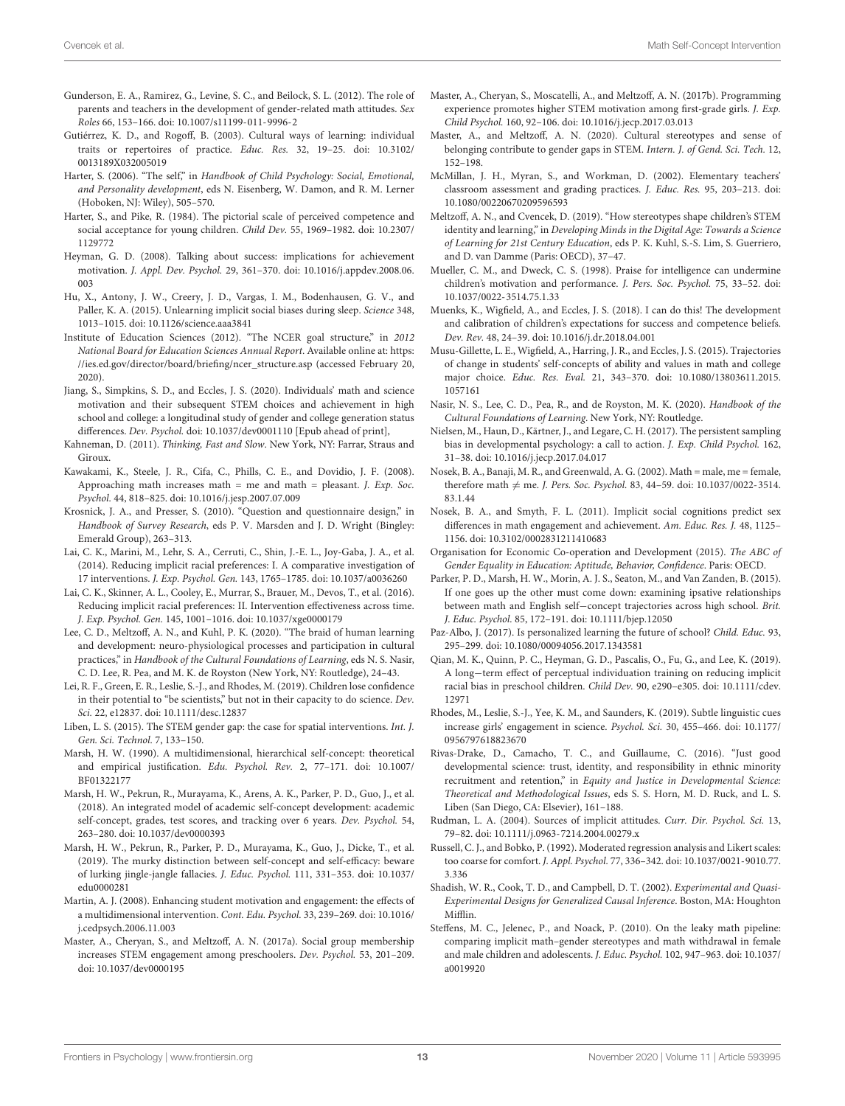- <span id="page-12-3"></span>Gunderson, E. A., Ramirez, G., Levine, S. C., and Beilock, S. L. (2012). The role of parents and teachers in the development of gender-related math attitudes. Sex Roles 66, 153–166. [doi: 10.1007/s11199-011-9996-2](https://doi.org/10.1007/s11199-011-9996-2)
- <span id="page-12-34"></span>Gutiérrez, K. D., and Rogoff, B. (2003). Cultural ways of learning: individual traits or repertoires of practice. Educ. Res. 32, 19–25. [doi: 10.3102/](https://doi.org/10.3102/0013189X032005019) [0013189X032005019](https://doi.org/10.3102/0013189X032005019)
- <span id="page-12-4"></span>Harter, S. (2006). "The self," in Handbook of Child Psychology: Social, Emotional, and Personality development, eds N. Eisenberg, W. Damon, and R. M. Lerner (Hoboken, NJ: Wiley), 505–570.
- <span id="page-12-6"></span>Harter, S., and Pike, R. (1984). The pictorial scale of perceived competence and social acceptance for young children. Child Dev. 55, 1969–1982. [doi: 10.2307/](https://doi.org/10.2307/1129772) [1129772](https://doi.org/10.2307/1129772)
- <span id="page-12-38"></span>Heyman, G. D. (2008). Talking about success: implications for achievement motivation. J. Appl. Dev. Psychol. 29, 361–370. [doi: 10.1016/j.appdev.2008.06.](https://doi.org/10.1016/j.appdev.2008.06.003) [003](https://doi.org/10.1016/j.appdev.2008.06.003)
- <span id="page-12-16"></span>Hu, X., Antony, J. W., Creery, J. D., Vargas, I. M., Bodenhausen, G. V., and Paller, K. A. (2015). Unlearning implicit social biases during sleep. Science 348, 1013–1015. [doi: 10.1126/science.aaa3841](https://doi.org/10.1126/science.aaa3841)
- <span id="page-12-17"></span>Institute of Education Sciences (2012). "The NCER goal structure," in 2012 National Board for Education Sciences Annual Report. Available online at: [https:](https://ies.ed.gov/director/board/briefing/ncer_structure.asp) [//ies.ed.gov/director/board/briefing/ncer\\_structure.asp](https://ies.ed.gov/director/board/briefing/ncer_structure.asp) (accessed February 20, 2020).
- <span id="page-12-1"></span>Jiang, S., Simpkins, S. D., and Eccles, J. S. (2020). Individuals' math and science motivation and their subsequent STEM choices and achievement in high school and college: a longitudinal study of gender and college generation status differences. Dev. Psychol. [doi: 10.1037/dev0001110](https://doi.org/10.1037/dev0001110) [Epub ahead of print],
- <span id="page-12-7"></span>Kahneman, D. (2011). Thinking, Fast and Slow. New York, NY: Farrar, Straus and Giroux.
- <span id="page-12-15"></span>Kawakami, K., Steele, J. R., Cifa, C., Phills, C. E., and Dovidio, J. F. (2008). Approaching math increases math = me and math = pleasant. *J. Exp. Soc.* Psychol. 44, 818–825. [doi: 10.1016/j.jesp.2007.07.009](https://doi.org/10.1016/j.jesp.2007.07.009)
- <span id="page-12-22"></span>Krosnick, J. A., and Presser, S. (2010). "Question and questionnaire design," in Handbook of Survey Research, eds P. V. Marsden and J. D. Wright (Bingley: Emerald Group), 263–313.
- <span id="page-12-25"></span>Lai, C. K., Marini, M., Lehr, S. A., Cerruti, C., Shin, J.-E. L., Joy-Gaba, J. A., et al. (2014). Reducing implicit racial preferences: I. A comparative investigation of 17 interventions. J. Exp. Psychol. Gen. 143, 1765–1785. [doi: 10.1037/a0036260](https://doi.org/10.1037/a0036260)
- <span id="page-12-26"></span>Lai, C. K., Skinner, A. L., Cooley, E., Murrar, S., Brauer, M., Devos, T., et al. (2016). Reducing implicit racial preferences: II. Intervention effectiveness across time. J. Exp. Psychol. Gen. 145, 1001–1016. [doi: 10.1037/xge0000179](https://doi.org/10.1037/xge0000179)
- <span id="page-12-33"></span>Lee, C. D., Meltzoff, A. N., and Kuhl, P. K. (2020). "The braid of human learning and development: neuro-physiological processes and participation in cultural practices," in Handbook of the Cultural Foundations of Learning, eds N. S. Nasir, C. D. Lee, R. Pea, and M. K. de Royston (New York, NY: Routledge), 24–43.
- <span id="page-12-11"></span>Lei, R. F., Green, E. R., Leslie, S.-J., and Rhodes, M. (2019). Children lose confidence in their potential to "be scientists," but not in their capacity to do science. Dev. Sci. 22, e12837. [doi: 10.1111/desc.12837](https://doi.org/10.1111/desc.12837)
- <span id="page-12-40"></span>Liben, L. S. (2015). The STEM gender gap: the case for spatial interventions. Int. J. Gen. Sci. Technol. 7, 133–150.
- <span id="page-12-0"></span>Marsh, H. W. (1990). A multidimensional, hierarchical self-concept: theoretical and empirical justification. Edu. Psychol. Rev. 2, 77–171. [doi: 10.1007/](https://doi.org/10.1007/BF01322177) [BF01322177](https://doi.org/10.1007/BF01322177)
- <span id="page-12-2"></span>Marsh, H. W., Pekrun, R., Murayama, K., Arens, A. K., Parker, P. D., Guo, J., et al. (2018). An integrated model of academic self-concept development: academic self-concept, grades, test scores, and tracking over 6 years. Dev. Psychol. 54, 263–280. [doi: 10.1037/dev0000393](https://doi.org/10.1037/dev0000393)
- <span id="page-12-5"></span>Marsh, H. W., Pekrun, R., Parker, P. D., Murayama, K., Guo, J., Dicke, T., et al. (2019). The murky distinction between self-concept and self-efficacy: beware of lurking jingle-jangle fallacies. J. Educ. Psychol. 111, 331–353. [doi: 10.1037/](https://doi.org/10.1037/edu0000281) [edu0000281](https://doi.org/10.1037/edu0000281)
- <span id="page-12-13"></span>Martin, A. J. (2008). Enhancing student motivation and engagement: the effects of a multidimensional intervention. Cont. Edu. Psychol. 33, 239–269. [doi: 10.1016/](https://doi.org/10.1016/j.cedpsych.2006.11.003) [j.cedpsych.2006.11.003](https://doi.org/10.1016/j.cedpsych.2006.11.003)
- <span id="page-12-23"></span>Master, A., Cheryan, S., and Meltzoff, A. N. (2017a). Social group membership increases STEM engagement among preschoolers. Dev. Psychol. 53, 201–209. [doi: 10.1037/dev0000195](https://doi.org/10.1037/dev0000195)
- <span id="page-12-41"></span>Master, A., Cheryan, S., Moscatelli, A., and Meltzoff, A. N. (2017b). Programming experience promotes higher STEM motivation among first-grade girls. J. Exp. Child Psychol. 160, 92–106. [doi: 10.1016/j.jecp.2017.03.013](https://doi.org/10.1016/j.jecp.2017.03.013)
- <span id="page-12-14"></span>Master, A., and Meltzoff, A. N. (2020). Cultural stereotypes and sense of belonging contribute to gender gaps in STEM. Intern. J. of Gend. Sci. Tech. 12, 152–198.
- <span id="page-12-29"></span>McMillan, J. H., Myran, S., and Workman, D. (2002). Elementary teachers' classroom assessment and grading practices. J. Educ. Res. 95, 203–213. [doi:](https://doi.org/10.1080/00220670209596593) [10.1080/00220670209596593](https://doi.org/10.1080/00220670209596593)
- <span id="page-12-12"></span>Meltzoff, A. N., and Cvencek, D. (2019). "How stereotypes shape children's STEM identity and learning," in Developing Minds in the Digital Age: Towards a Science of Learning for 21st Century Education, eds P. K. Kuhl, S.-S. Lim, S. Guerriero, and D. van Damme (Paris: OECD), 37–47.
- <span id="page-12-24"></span>Mueller, C. M., and Dweck, C. S. (1998). Praise for intelligence can undermine children's motivation and performance. J. Pers. Soc. Psychol. 75, 33–52. [doi:](https://doi.org/10.1037/0022-3514.75.1.33) [10.1037/0022-3514.75.1.33](https://doi.org/10.1037/0022-3514.75.1.33)
- <span id="page-12-9"></span>Muenks, K., Wigfield, A., and Eccles, J. S. (2018). I can do this! The development and calibration of children's expectations for success and competence beliefs. Dev. Rev. 48, 24–39. [doi: 10.1016/j.dr.2018.04.001](https://doi.org/10.1016/j.dr.2018.04.001)
- <span id="page-12-39"></span>Musu-Gillette, L. E., Wigfield, A., Harring, J. R., and Eccles, J. S. (2015). Trajectories of change in students' self-concepts of ability and values in math and college major choice. Educ. Res. Eval. 21, 343–370. [doi: 10.1080/13803611.2015.](https://doi.org/10.1080/13803611.2015.1057161) [1057161](https://doi.org/10.1080/13803611.2015.1057161)
- <span id="page-12-36"></span>Nasir, N. S., Lee, C. D., Pea, R., and de Royston, M. K. (2020). Handbook of the Cultural Foundations of Learning. New York, NY: Routledge.
- <span id="page-12-20"></span>Nielsen, M., Haun, D., Kärtner, J., and Legare, C. H. (2017). The persistent sampling bias in developmental psychology: a call to action. J. Exp. Child Psychol. 162, 31–38. [doi: 10.1016/j.jecp.2017.04.017](https://doi.org/10.1016/j.jecp.2017.04.017)
- <span id="page-12-30"></span>Nosek, B. A., Banaji, M. R., and Greenwald, A. G. (2002). Math = male, me = female, therefore math  $\neq$  me. J. Pers. Soc. Psychol. 83, 44–59. [doi: 10.1037/0022-3514.](https://doi.org/10.1037/0022-3514.83.1.44) [83.1.44](https://doi.org/10.1037/0022-3514.83.1.44)
- <span id="page-12-31"></span>Nosek, B. A., and Smyth, F. L. (2011). Implicit social cognitions predict sex differences in math engagement and achievement. Am. Educ. Res. J. 48, 1125– 1156. [doi: 10.3102/0002831211410683](https://doi.org/10.3102/0002831211410683)
- <span id="page-12-18"></span>Organisation for Economic Co-operation and Development (2015). The ABC of Gender Equality in Education: Aptitude, Behavior, Confidence. Paris: OECD.
- <span id="page-12-32"></span>Parker, P. D., Marsh, H. W., Morin, A. J. S., Seaton, M., and Van Zanden, B. (2015). If one goes up the other must come down: examining ipsative relationships between math and English self−concept trajectories across high school. Brit. J. Educ. Psychol. 85, 172–191. [doi: 10.1111/bjep.12050](https://doi.org/10.1111/bjep.12050)
- <span id="page-12-35"></span>Paz-Albo, J. (2017). Is personalized learning the future of school? Child. Educ. 93, 295–299. [doi: 10.1080/00094056.2017.1343581](https://doi.org/10.1080/00094056.2017.1343581)
- <span id="page-12-10"></span>Qian, M. K., Quinn, P. C., Heyman, G. D., Pascalis, O., Fu, G., and Lee, K. (2019). A long−term effect of perceptual individuation training on reducing implicit racial bias in preschool children. Child Dev. 90, e290–e305. [doi: 10.1111/cdev.](https://doi.org/10.1111/cdev.12971) [12971](https://doi.org/10.1111/cdev.12971)
- <span id="page-12-37"></span>Rhodes, M., Leslie, S.-J., Yee, K. M., and Saunders, K. (2019). Subtle linguistic cues increase girls' engagement in science. Psychol. Sci. 30, 455–466. [doi: 10.1177/](https://doi.org/10.1177/0956797618823670) [0956797618823670](https://doi.org/10.1177/0956797618823670)
- <span id="page-12-19"></span>Rivas-Drake, D., Camacho, T. C., and Guillaume, C. (2016). "Just good developmental science: trust, identity, and responsibility in ethnic minority recruitment and retention," in Equity and Justice in Developmental Science: Theoretical and Methodological Issues, eds S. S. Horn, M. D. Ruck, and L. S. Liben (San Diego, CA: Elsevier), 161–188.
- <span id="page-12-27"></span>Rudman, L. A. (2004). Sources of implicit attitudes. Curr. Dir. Psychol. Sci. 13, 79–82. [doi: 10.1111/j.0963-7214.2004.00279.x](https://doi.org/10.1111/j.0963-7214.2004.00279.x)
- <span id="page-12-28"></span>Russell, C. J., and Bobko, P. (1992). Moderated regression analysis and Likert scales: too coarse for comfort. J. Appl. Psychol. 77, 336–342. [doi: 10.1037/0021-9010.77.](https://doi.org/10.1037/0021-9010.77.3.336) [3.336](https://doi.org/10.1037/0021-9010.77.3.336)
- <span id="page-12-21"></span>Shadish, W. R., Cook, T. D., and Campbell, D. T. (2002). Experimental and Quasi-Experimental Designs for Generalized Causal Inference. Boston, MA: Houghton Mifflin.
- <span id="page-12-8"></span>Steffens, M. C., Jelenec, P., and Noack, P. (2010). On the leaky math pipeline: comparing implicit math–gender stereotypes and math withdrawal in female and male children and adolescents. J. Educ. Psychol. 102, 947–963. [doi: 10.1037/](https://doi.org/10.1037/a0019920) [a0019920](https://doi.org/10.1037/a0019920)